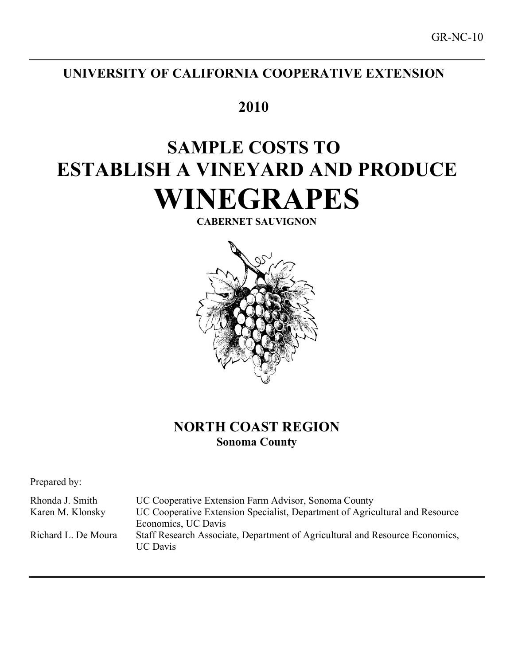# **UNIVERSITY OF CALIFORNIA COOPERATIVE EXTENSION**

# **2010**

# **SAMPLE COSTS TO ESTABLISH A VINEYARD AND PRODUCE WINEGRAPES**

**CABERNET SAUVIGNON**



## **NORTH COAST REGION Sonoma County**

Prepared by:

Rhonda J. Smith UC Cooperative Extension Farm Advisor, Sonoma County Karen M. Klonsky UC Cooperative Extension Specialist, Department of Agricultural and Resource Economics, UC Davis Richard L. De Moura Staff Research Associate, Department of Agricultural and Resource Economics, UC Davis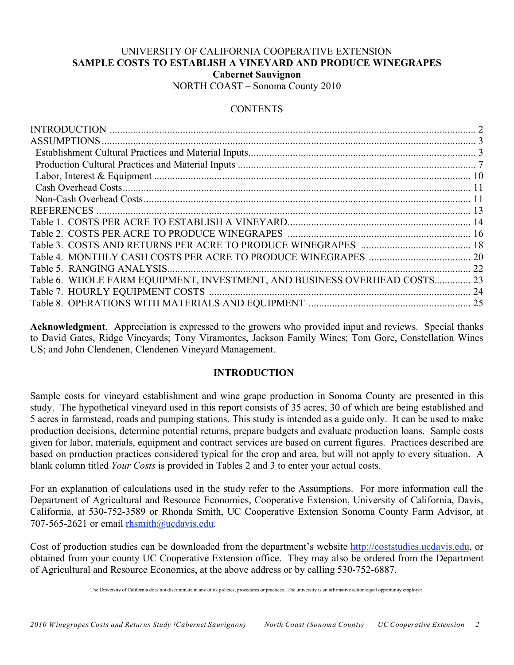## UNIVERSITY OF CALIFORNIA COOPERATIVE EXTENSION **SAMPLE COSTS TO ESTABLISH A VINEYARD AND PRODUCE WINEGRAPES Cabernet Sauvignon** NORTH COAST – Sonoma County 2010

## **CONTENTS**

|                                                                           | 2 |
|---------------------------------------------------------------------------|---|
|                                                                           |   |
|                                                                           |   |
|                                                                           |   |
|                                                                           |   |
|                                                                           |   |
|                                                                           |   |
|                                                                           |   |
|                                                                           |   |
|                                                                           |   |
|                                                                           |   |
|                                                                           |   |
|                                                                           |   |
| Table 6. WHOLE FARM EQUIPMENT, INVESTMENT, AND BUSINESS OVERHEAD COSTS 23 |   |
|                                                                           |   |
|                                                                           |   |
|                                                                           |   |

**Acknowledgment**. Appreciation is expressed to the growers who provided input and reviews. Special thanks to David Gates, Ridge Vineyards; Tony Viramontes, Jackson Family Wines; Tom Gore, Constellation Wines US; and John Clendenen, Clendenen Vineyard Management.

## **INTRODUCTION**

Sample costs for vineyard establishment and wine grape production in Sonoma County are presented in this study. The hypothetical vineyard used in this report consists of 35 acres, 30 of which are being established and 5 acres in farmstead, roads and pumping stations. This study is intended as a guide only. It can be used to make production decisions, determine potential returns, prepare budgets and evaluate production loans. Sample costs given for labor, materials, equipment and contract services are based on current figures. Practices described are based on production practices considered typical for the crop and area, but will not apply to every situation. A blank column titled *Your Costs* is provided in Tables 2 and 3 to enter your actual costs.

For an explanation of calculations used in the study refer to the Assumptions. For more information call the Department of Agricultural and Resource Economics, Cooperative Extension, University of California, Davis, California, at 530-752-3589 or Rhonda Smith, UC Cooperative Extension Sonoma County Farm Advisor, at 707-565-2621 or email rhsmith@ucdavis.edu.

Cost of production studies can be downloaded from the department's website http://coststudies.ucdavis.edu, or obtained from your county UC Cooperative Extension office. They may also be ordered from the Department of Agricultural and Resource Economics, at the above address or by calling 530-752-6887.

The University of California does not discriminate in any of its policies, procedures or practices. The university is an affirmative action/equal opportunity employer.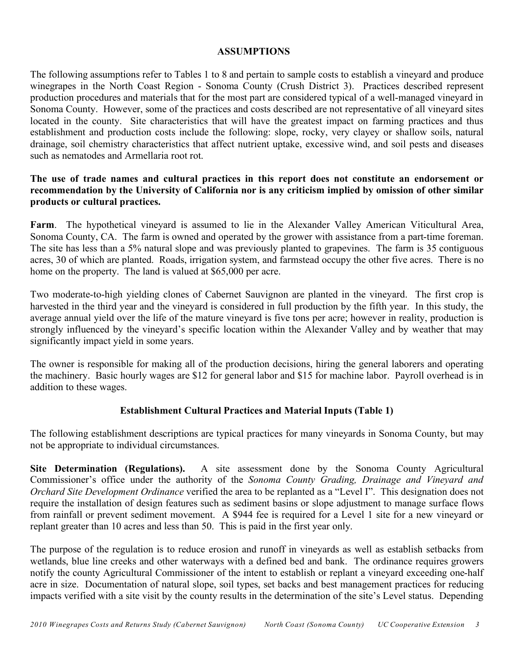## **ASSUMPTIONS**

The following assumptions refer to Tables 1 to 8 and pertain to sample costs to establish a vineyard and produce winegrapes in the North Coast Region - Sonoma County (Crush District 3). Practices described represent production procedures and materials that for the most part are considered typical of a well-managed vineyard in Sonoma County. However, some of the practices and costs described are not representative of all vineyard sites located in the county. Site characteristics that will have the greatest impact on farming practices and thus establishment and production costs include the following: slope, rocky, very clayey or shallow soils, natural drainage, soil chemistry characteristics that affect nutrient uptake, excessive wind, and soil pests and diseases such as nematodes and Armellaria root rot.

## **The use of trade names and cultural practices in this report does not constitute an endorsement or recommendation by the University of California nor is any criticism implied by omission of other similar products or cultural practices.**

**Farm**. The hypothetical vineyard is assumed to lie in the Alexander Valley American Viticultural Area, Sonoma County, CA. The farm is owned and operated by the grower with assistance from a part-time foreman. The site has less than a 5% natural slope and was previously planted to grapevines. The farm is 35 contiguous acres, 30 of which are planted. Roads, irrigation system, and farmstead occupy the other five acres. There is no home on the property. The land is valued at \$65,000 per acre.

Two moderate-to-high yielding clones of Cabernet Sauvignon are planted in the vineyard. The first crop is harvested in the third year and the vineyard is considered in full production by the fifth year. In this study, the average annual yield over the life of the mature vineyard is five tons per acre; however in reality, production is strongly influenced by the vineyard's specific location within the Alexander Valley and by weather that may significantly impact yield in some years.

The owner is responsible for making all of the production decisions, hiring the general laborers and operating the machinery. Basic hourly wages are \$12 for general labor and \$15 for machine labor. Payroll overhead is in addition to these wages.

## **Establishment Cultural Practices and Material Inputs (Table 1)**

The following establishment descriptions are typical practices for many vineyards in Sonoma County, but may not be appropriate to individual circumstances.

**Site Determination (Regulations).** A site assessment done by the Sonoma County Agricultural Commissioner's office under the authority of the *Sonoma County Grading, Drainage and Vineyard and Orchard Site Development Ordinance* verified the area to be replanted as a "Level I". This designation does not require the installation of design features such as sediment basins or slope adjustment to manage surface flows from rainfall or prevent sediment movement. A \$944 fee is required for a Level 1 site for a new vineyard or replant greater than 10 acres and less than 50. This is paid in the first year only.

The purpose of the regulation is to reduce erosion and runoff in vineyards as well as establish setbacks from wetlands, blue line creeks and other waterways with a defined bed and bank. The ordinance requires growers notify the county Agricultural Commissioner of the intent to establish or replant a vineyard exceeding one-half acre in size. Documentation of natural slope, soil types, set backs and best management practices for reducing impacts verified with a site visit by the county results in the determination of the site's Level status. Depending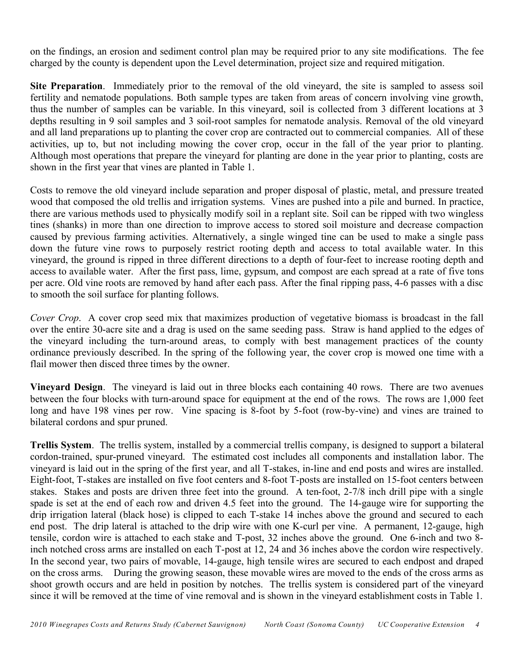on the findings, an erosion and sediment control plan may be required prior to any site modifications. The fee charged by the county is dependent upon the Level determination, project size and required mitigation.

**Site Preparation**. Immediately prior to the removal of the old vineyard, the site is sampled to assess soil fertility and nematode populations. Both sample types are taken from areas of concern involving vine growth, thus the number of samples can be variable. In this vineyard, soil is collected from 3 different locations at 3 depths resulting in 9 soil samples and 3 soil-root samples for nematode analysis. Removal of the old vineyard and all land preparations up to planting the cover crop are contracted out to commercial companies. All of these activities, up to, but not including mowing the cover crop, occur in the fall of the year prior to planting. Although most operations that prepare the vineyard for planting are done in the year prior to planting, costs are shown in the first year that vines are planted in Table 1.

Costs to remove the old vineyard include separation and proper disposal of plastic, metal, and pressure treated wood that composed the old trellis and irrigation systems. Vines are pushed into a pile and burned. In practice, there are various methods used to physically modify soil in a replant site. Soil can be ripped with two wingless tines (shanks) in more than one direction to improve access to stored soil moisture and decrease compaction caused by previous farming activities. Alternatively, a single winged tine can be used to make a single pass down the future vine rows to purposely restrict rooting depth and access to total available water. In this vineyard, the ground is ripped in three different directions to a depth of four-feet to increase rooting depth and access to available water. After the first pass, lime, gypsum, and compost are each spread at a rate of five tons per acre. Old vine roots are removed by hand after each pass. After the final ripping pass, 4-6 passes with a disc to smooth the soil surface for planting follows.

*Cover Crop*. A cover crop seed mix that maximizes production of vegetative biomass is broadcast in the fall over the entire 30-acre site and a drag is used on the same seeding pass. Straw is hand applied to the edges of the vineyard including the turn-around areas, to comply with best management practices of the county ordinance previously described. In the spring of the following year, the cover crop is mowed one time with a flail mower then disced three times by the owner.

**Vineyard Design**. The vineyard is laid out in three blocks each containing 40 rows. There are two avenues between the four blocks with turn-around space for equipment at the end of the rows. The rows are 1,000 feet long and have 198 vines per row. Vine spacing is 8-foot by 5-foot (row-by-vine) and vines are trained to bilateral cordons and spur pruned.

**Trellis System**. The trellis system, installed by a commercial trellis company, is designed to support a bilateral cordon-trained, spur-pruned vineyard. The estimated cost includes all components and installation labor. The vineyard is laid out in the spring of the first year, and all T-stakes, in-line and end posts and wires are installed. Eight-foot, T-stakes are installed on five foot centers and 8-foot T-posts are installed on 15-foot centers between stakes. Stakes and posts are driven three feet into the ground. A ten-foot, 2-7/8 inch drill pipe with a single spade is set at the end of each row and driven 4.5 feet into the ground. The 14-gauge wire for supporting the drip irrigation lateral (black hose) is clipped to each T-stake 14 inches above the ground and secured to each end post. The drip lateral is attached to the drip wire with one K-curl per vine. A permanent, 12-gauge, high tensile, cordon wire is attached to each stake and T-post, 32 inches above the ground. One 6-inch and two 8 inch notched cross arms are installed on each T-post at 12, 24 and 36 inches above the cordon wire respectively. In the second year, two pairs of movable, 14-gauge, high tensile wires are secured to each endpost and draped on the cross arms. During the growing season, these movable wires are moved to the ends of the cross arms as shoot growth occurs and are held in position by notches. The trellis system is considered part of the vineyard since it will be removed at the time of vine removal and is shown in the vineyard establishment costs in Table 1.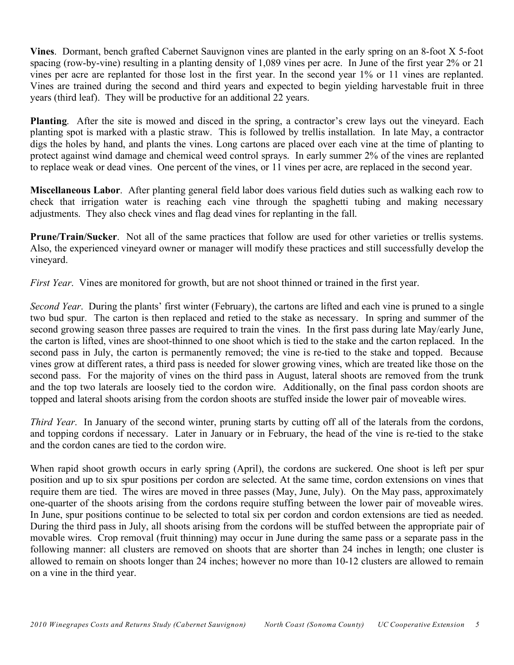**Vines**. Dormant, bench grafted Cabernet Sauvignon vines are planted in the early spring on an 8-foot X 5-foot spacing (row-by-vine) resulting in a planting density of 1,089 vines per acre. In June of the first year 2% or 21 vines per acre are replanted for those lost in the first year. In the second year 1% or 11 vines are replanted. Vines are trained during the second and third years and expected to begin yielding harvestable fruit in three years (third leaf). They will be productive for an additional 22 years.

**Planting**. After the site is mowed and disced in the spring, a contractor's crew lays out the vineyard. Each planting spot is marked with a plastic straw. This is followed by trellis installation. In late May, a contractor digs the holes by hand, and plants the vines. Long cartons are placed over each vine at the time of planting to protect against wind damage and chemical weed control sprays. In early summer 2% of the vines are replanted to replace weak or dead vines. One percent of the vines, or 11 vines per acre, are replaced in the second year.

**Miscellaneous Labor**. After planting general field labor does various field duties such as walking each row to check that irrigation water is reaching each vine through the spaghetti tubing and making necessary adjustments. They also check vines and flag dead vines for replanting in the fall.

**Prune/Train/Sucker**. Not all of the same practices that follow are used for other varieties or trellis systems. Also, the experienced vineyard owner or manager will modify these practices and still successfully develop the vineyard.

*First Year*. Vines are monitored for growth, but are not shoot thinned or trained in the first year.

*Second Year*. During the plants' first winter (February), the cartons are lifted and each vine is pruned to a single two bud spur. The carton is then replaced and retied to the stake as necessary. In spring and summer of the second growing season three passes are required to train the vines. In the first pass during late May/early June, the carton is lifted, vines are shoot-thinned to one shoot which is tied to the stake and the carton replaced. In the second pass in July, the carton is permanently removed; the vine is re-tied to the stake and topped. Because vines grow at different rates, a third pass is needed for slower growing vines, which are treated like those on the second pass. For the majority of vines on the third pass in August, lateral shoots are removed from the trunk and the top two laterals are loosely tied to the cordon wire. Additionally, on the final pass cordon shoots are topped and lateral shoots arising from the cordon shoots are stuffed inside the lower pair of moveable wires.

*Third Year*. In January of the second winter, pruning starts by cutting off all of the laterals from the cordons, and topping cordons if necessary. Later in January or in February, the head of the vine is re-tied to the stake and the cordon canes are tied to the cordon wire.

When rapid shoot growth occurs in early spring (April), the cordons are suckered. One shoot is left per spur position and up to six spur positions per cordon are selected. At the same time, cordon extensions on vines that require them are tied. The wires are moved in three passes (May, June, July). On the May pass, approximately one-quarter of the shoots arising from the cordons require stuffing between the lower pair of moveable wires. In June, spur positions continue to be selected to total six per cordon and cordon extensions are tied as needed. During the third pass in July, all shoots arising from the cordons will be stuffed between the appropriate pair of movable wires. Crop removal (fruit thinning) may occur in June during the same pass or a separate pass in the following manner: all clusters are removed on shoots that are shorter than 24 inches in length; one cluster is allowed to remain on shoots longer than 24 inches; however no more than 10-12 clusters are allowed to remain on a vine in the third year.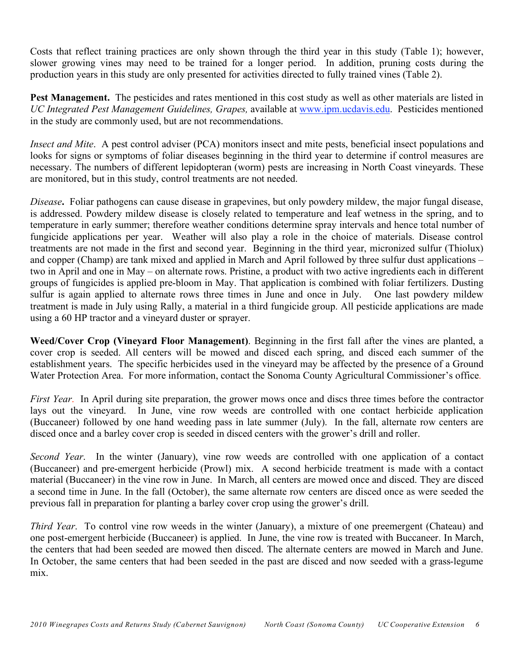Costs that reflect training practices are only shown through the third year in this study (Table 1); however, slower growing vines may need to be trained for a longer period. In addition, pruning costs during the production years in this study are only presented for activities directed to fully trained vines (Table 2).

**Pest Management.** The pesticides and rates mentioned in this cost study as well as other materials are listed in *UC Integrated Pest Management Guidelines, Grapes,* available at www.ipm.ucdavis.edu. Pesticides mentioned in the study are commonly used, but are not recommendations.

*Insect and Mite*. A pest control adviser (PCA) monitors insect and mite pests, beneficial insect populations and looks for signs or symptoms of foliar diseases beginning in the third year to determine if control measures are necessary. The numbers of different lepidopteran (worm) pests are increasing in North Coast vineyards. These are monitored, but in this study, control treatments are not needed.

*Disease***.** Foliar pathogens can cause disease in grapevines, but only powdery mildew, the major fungal disease, is addressed. Powdery mildew disease is closely related to temperature and leaf wetness in the spring, and to temperature in early summer; therefore weather conditions determine spray intervals and hence total number of fungicide applications per year. Weather will also play a role in the choice of materials. Disease control treatments are not made in the first and second year. Beginning in the third year, micronized sulfur (Thiolux) and copper (Champ) are tank mixed and applied in March and April followed by three sulfur dust applications – two in April and one in May – on alternate rows. Pristine, a product with two active ingredients each in different groups of fungicides is applied pre-bloom in May. That application is combined with foliar fertilizers. Dusting sulfur is again applied to alternate rows three times in June and once in July. One last powdery mildew treatment is made in July using Rally, a material in a third fungicide group. All pesticide applications are made using a 60 HP tractor and a vineyard duster or sprayer.

**Weed/Cover Crop (Vineyard Floor Management)**. Beginning in the first fall after the vines are planted, a cover crop is seeded. All centers will be mowed and disced each spring, and disced each summer of the establishment years. The specific herbicides used in the vineyard may be affected by the presence of a Ground Water Protection Area. For more information, contact the Sonoma County Agricultural Commissioner's office.

*First Year*. In April during site preparation, the grower mows once and discs three times before the contractor lays out the vineyard. In June, vine row weeds are controlled with one contact herbicide application (Buccaneer) followed by one hand weeding pass in late summer (July). In the fall, alternate row centers are disced once and a barley cover crop is seeded in disced centers with the grower's drill and roller.

*Second Year*. In the winter (January), vine row weeds are controlled with one application of a contact (Buccaneer) and pre-emergent herbicide (Prowl) mix. A second herbicide treatment is made with a contact material (Buccaneer) in the vine row in June. In March, all centers are mowed once and disced. They are disced a second time in June. In the fall (October), the same alternate row centers are disced once as were seeded the previous fall in preparation for planting a barley cover crop using the grower's drill.

*Third Year*. To control vine row weeds in the winter (January), a mixture of one preemergent (Chateau) and one post-emergent herbicide (Buccaneer) is applied. In June, the vine row is treated with Buccaneer. In March, the centers that had been seeded are mowed then disced. The alternate centers are mowed in March and June. In October, the same centers that had been seeded in the past are disced and now seeded with a grass-legume mix.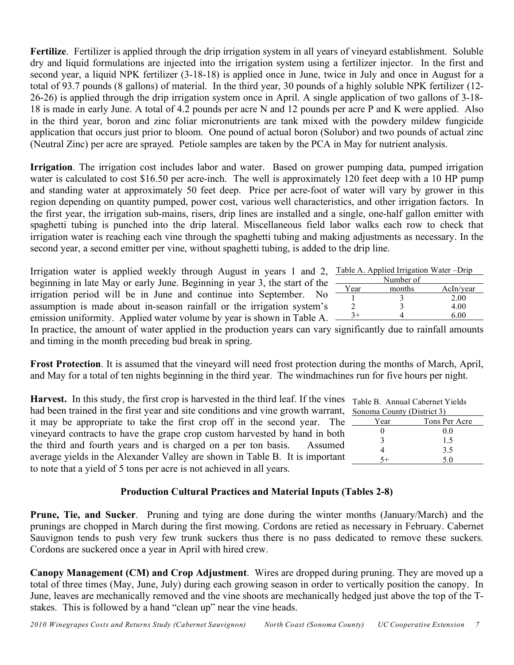**Fertilize**. Fertilizer is applied through the drip irrigation system in all years of vineyard establishment. Soluble dry and liquid formulations are injected into the irrigation system using a fertilizer injector. In the first and second year, a liquid NPK fertilizer (3-18-18) is applied once in June, twice in July and once in August for a total of 93.7 pounds (8 gallons) of material. In the third year, 30 pounds of a highly soluble NPK fertilizer (12- 26-26) is applied through the drip irrigation system once in April. A single application of two gallons of 3-18- 18 is made in early June. A total of 4.2 pounds per acre N and 12 pounds per acre P and K were applied. Also in the third year, boron and zinc foliar micronutrients are tank mixed with the powdery mildew fungicide application that occurs just prior to bloom. One pound of actual boron (Solubor) and two pounds of actual zinc (Neutral Zinc) per acre are sprayed. Petiole samples are taken by the PCA in May for nutrient analysis.

**Irrigation**. The irrigation cost includes labor and water. Based on grower pumping data, pumped irrigation water is calculated to cost \$16.50 per acre-inch. The well is approximately 120 feet deep with a 10 HP pump and standing water at approximately 50 feet deep. Price per acre-foot of water will vary by grower in this region depending on quantity pumped, power cost, various well characteristics, and other irrigation factors. In the first year, the irrigation sub-mains, risers, drip lines are installed and a single, one-half gallon emitter with spaghetti tubing is punched into the drip lateral. Miscellaneous field labor walks each row to check that irrigation water is reaching each vine through the spaghetti tubing and making adjustments as necessary. In the second year, a second emitter per vine, without spaghetti tubing, is added to the drip line.

Irrigation water is applied weekly through August in years 1 and 2, beginning in late May or early June. Beginning in year 3, the start of the irrigation period will be in June and continue into September. No assumption is made about in-season rainfall or the irrigation system's emission uniformity. Applied water volume by year is shown in Table A.  $\frac{3+1}{4}$  4 6.00

In practice, the amount of water applied in the production years can vary significantly due to rainfall amounts and timing in the month preceding bud break in spring.

**Frost Protection**. It is assumed that the vineyard will need frost protection during the months of March, April, and May for a total of ten nights beginning in the third year. The windmachines run for five hours per night.

**Harvest.** In this study, the first crop is harvested in the third leaf. If the vines  $\tau$ had been trained in the first year and site conditions and vine growth warrant, s it may be appropriate to take the first crop off in the second year. The vineyard contracts to have the grape crop custom harvested by hand in both the third and fourth years and is charged on a per ton basis. Assumed average yields in the Alexander Valley are shown in Table B. It is important to note that a yield of 5 tons per acre is not achieved in all years.

## **Production Cultural Practices and Material Inputs (Tables 2-8)**

**Prune, Tie, and Sucker**. Pruning and tying are done during the winter months (January/March) and the prunings are chopped in March during the first mowing. Cordons are retied as necessary in February. Cabernet Sauvignon tends to push very few trunk suckers thus there is no pass dedicated to remove these suckers. Cordons are suckered once a year in April with hired crew.

**Canopy Management (CM) and Crop Adjustment**. Wires are dropped during pruning. They are moved up a total of three times (May, June, July) during each growing season in order to vertically position the canopy. In June, leaves are mechanically removed and the vine shoots are mechanically hedged just above the top of the Tstakes. This is followed by a hand "clean up" near the vine heads.

|          | Table A. Applied Irrigation Water – Drip |                     |
|----------|------------------------------------------|---------------------|
|          | Number of                                |                     |
| Year     | months                                   | AcIn/year           |
|          |                                          | 2.00                |
|          |                                          | 4.00                |
| $\sim$ . |                                          | $\epsilon$ $\alpha$ |

| Table B. Annual Cabernet Yields |  |
|---------------------------------|--|
| Sonoma County (District 3)      |  |

| Tons Per Acre |
|---------------|
|               |
|               |
|               |
|               |
|               |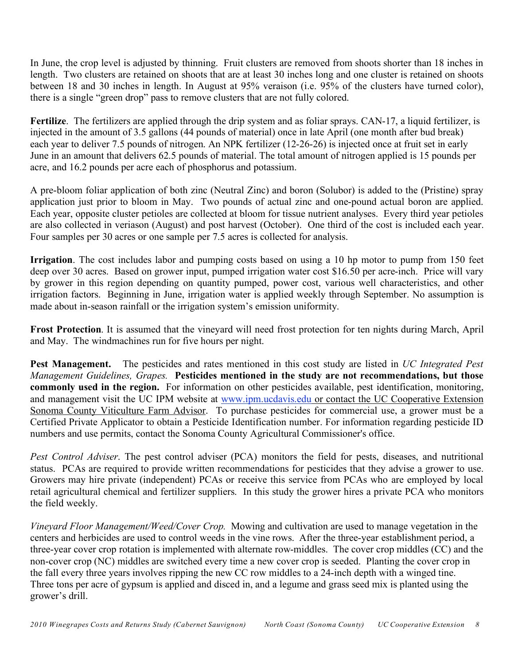In June, the crop level is adjusted by thinning. Fruit clusters are removed from shoots shorter than 18 inches in length. Two clusters are retained on shoots that are at least 30 inches long and one cluster is retained on shoots between 18 and 30 inches in length. In August at 95% veraison (i.e. 95% of the clusters have turned color), there is a single "green drop" pass to remove clusters that are not fully colored.

**Fertilize**. The fertilizers are applied through the drip system and as foliar sprays. CAN-17, a liquid fertilizer, is injected in the amount of 3.5 gallons (44 pounds of material) once in late April (one month after bud break) each year to deliver 7.5 pounds of nitrogen. An NPK fertilizer (12-26-26) is injected once at fruit set in early June in an amount that delivers 62.5 pounds of material. The total amount of nitrogen applied is 15 pounds per acre, and 16.2 pounds per acre each of phosphorus and potassium.

A pre-bloom foliar application of both zinc (Neutral Zinc) and boron (Solubor) is added to the (Pristine) spray application just prior to bloom in May. Two pounds of actual zinc and one-pound actual boron are applied. Each year, opposite cluster petioles are collected at bloom for tissue nutrient analyses. Every third year petioles are also collected in veriason (August) and post harvest (October). One third of the cost is included each year. Four samples per 30 acres or one sample per 7.5 acres is collected for analysis.

**Irrigation**. The cost includes labor and pumping costs based on using a 10 hp motor to pump from 150 feet deep over 30 acres. Based on grower input, pumped irrigation water cost \$16.50 per acre-inch. Price will vary by grower in this region depending on quantity pumped, power cost, various well characteristics, and other irrigation factors. Beginning in June, irrigation water is applied weekly through September. No assumption is made about in-season rainfall or the irrigation system's emission uniformity.

**Frost Protection**. It is assumed that the vineyard will need frost protection for ten nights during March, April and May. The windmachines run for five hours per night.

**Pest Management.** The pesticides and rates mentioned in this cost study are listed in *UC Integrated Pest Management Guidelines, Grapes.* **Pesticides mentioned in the study are not recommendations, but those commonly used in the region.** For information on other pesticides available, pest identification, monitoring, and management visit the UC IPM website at www.ipm.ucdavis.edu or contact the UC Cooperative Extension Sonoma County Viticulture Farm Advisor. To purchase pesticides for commercial use, a grower must be a Certified Private Applicator to obtain a Pesticide Identification number. For information regarding pesticide ID numbers and use permits, contact the Sonoma County Agricultural Commissioner's office.

*Pest Control Adviser*. The pest control adviser (PCA) monitors the field for pests, diseases, and nutritional status. PCAs are required to provide written recommendations for pesticides that they advise a grower to use. Growers may hire private (independent) PCAs or receive this service from PCAs who are employed by local retail agricultural chemical and fertilizer suppliers. In this study the grower hires a private PCA who monitors the field weekly.

*Vineyard Floor Management/Weed/Cover Crop.* Mowing and cultivation are used to manage vegetation in the centers and herbicides are used to control weeds in the vine rows. After the three-year establishment period, a three-year cover crop rotation is implemented with alternate row-middles. The cover crop middles (CC) and the non-cover crop (NC) middles are switched every time a new cover crop is seeded. Planting the cover crop in the fall every three years involves ripping the new CC row middles to a 24-inch depth with a winged tine. Three tons per acre of gypsum is applied and disced in, and a legume and grass seed mix is planted using the grower's drill.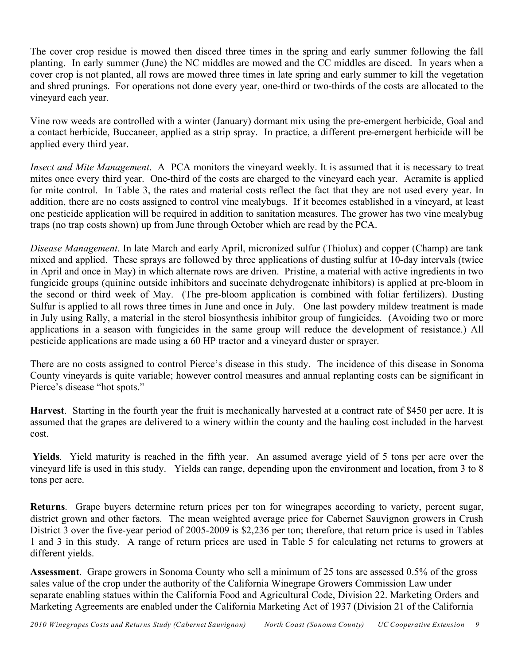The cover crop residue is mowed then disced three times in the spring and early summer following the fall planting. In early summer (June) the NC middles are mowed and the CC middles are disced. In years when a cover crop is not planted, all rows are mowed three times in late spring and early summer to kill the vegetation and shred prunings. For operations not done every year, one-third or two-thirds of the costs are allocated to the vineyard each year.

Vine row weeds are controlled with a winter (January) dormant mix using the pre-emergent herbicide, Goal and a contact herbicide, Buccaneer, applied as a strip spray. In practice, a different pre-emergent herbicide will be applied every third year.

*Insect and Mite Management*. A PCA monitors the vineyard weekly. It is assumed that it is necessary to treat mites once every third year. One-third of the costs are charged to the vineyard each year. Acramite is applied for mite control. In Table 3, the rates and material costs reflect the fact that they are not used every year. In addition, there are no costs assigned to control vine mealybugs. If it becomes established in a vineyard, at least one pesticide application will be required in addition to sanitation measures. The grower has two vine mealybug traps (no trap costs shown) up from June through October which are read by the PCA.

*Disease Management*. In late March and early April, micronized sulfur (Thiolux) and copper (Champ) are tank mixed and applied. These sprays are followed by three applications of dusting sulfur at 10-day intervals (twice in April and once in May) in which alternate rows are driven. Pristine, a material with active ingredients in two fungicide groups (quinine outside inhibitors and succinate dehydrogenate inhibitors) is applied at pre-bloom in the second or third week of May. (The pre-bloom application is combined with foliar fertilizers). Dusting Sulfur is applied to all rows three times in June and once in July. One last powdery mildew treatment is made in July using Rally, a material in the sterol biosynthesis inhibitor group of fungicides. (Avoiding two or more applications in a season with fungicides in the same group will reduce the development of resistance.) All pesticide applications are made using a 60 HP tractor and a vineyard duster or sprayer.

There are no costs assigned to control Pierce's disease in this study. The incidence of this disease in Sonoma County vineyards is quite variable; however control measures and annual replanting costs can be significant in Pierce's disease "hot spots."

**Harvest**. Starting in the fourth year the fruit is mechanically harvested at a contract rate of \$450 per acre. It is assumed that the grapes are delivered to a winery within the county and the hauling cost included in the harvest cost.

 **Yields**. Yield maturity is reached in the fifth year. An assumed average yield of 5 tons per acre over the vineyard life is used in this study. Yields can range, depending upon the environment and location, from 3 to 8 tons per acre.

**Returns**. Grape buyers determine return prices per ton for winegrapes according to variety, percent sugar, district grown and other factors. The mean weighted average price for Cabernet Sauvignon growers in Crush District 3 over the five-year period of 2005-2009 is \$2,236 per ton; therefore, that return price is used in Tables 1 and 3 in this study. A range of return prices are used in Table 5 for calculating net returns to growers at different yields.

**Assessment**. Grape growers in Sonoma County who sell a minimum of 25 tons are assessed 0.5% of the gross sales value of the crop under the authority of the California Winegrape Growers Commission Law under separate enabling statues within the California Food and Agricultural Code, Division 22. Marketing Orders and Marketing Agreements are enabled under the California Marketing Act of 1937 (Division 21 of the California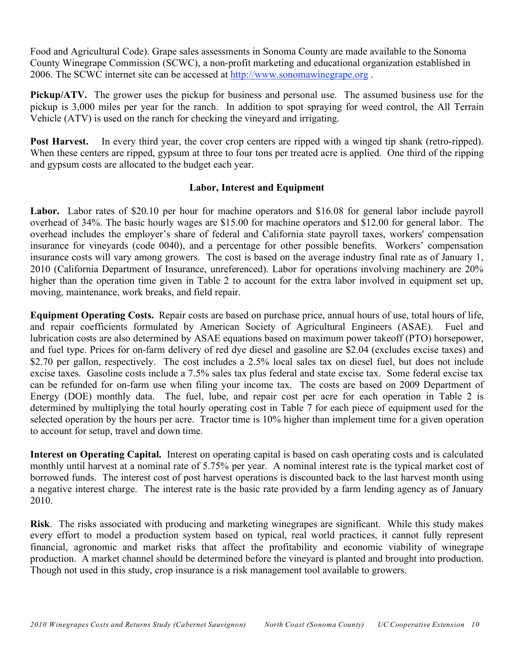Food and Agricultural Code). Grape sales assessments in Sonoma County are made available to the Sonoma County Winegrape Commission (SCWC), a non-profit marketing and educational organization established in 2006. The SCWC internet site can be accessed at http://www.sonomawinegrape.org .

**Pickup/ATV.** The grower uses the pickup for business and personal use. The assumed business use for the pickup is 3,000 miles per year for the ranch. In addition to spot spraying for weed control, the All Terrain Vehicle (ATV) is used on the ranch for checking the vineyard and irrigating.

**Post Harvest.** In every third year, the cover crop centers are ripped with a winged tip shank (retro-ripped). When these centers are ripped, gypsum at three to four tons per treated acre is applied. One third of the ripping and gypsum costs are allocated to the budget each year.

## **Labor, Interest and Equipment**

Labor. Labor rates of \$20.10 per hour for machine operators and \$16.08 for general labor include payroll overhead of 34%. The basic hourly wages are \$15.00 for machine operators and \$12.00 for general labor. The overhead includes the employer's share of federal and California state payroll taxes, workers' compensation insurance for vineyards (code 0040), and a percentage for other possible benefits. Workers' compensation insurance costs will vary among growers. The cost is based on the average industry final rate as of January 1, 2010 (California Department of Insurance, unreferenced). Labor for operations involving machinery are 20% higher than the operation time given in Table 2 to account for the extra labor involved in equipment set up, moving, maintenance, work breaks, and field repair.

**Equipment Operating Costs.** Repair costs are based on purchase price, annual hours of use, total hours of life, and repair coefficients formulated by American Society of Agricultural Engineers (ASAE). Fuel and lubrication costs are also determined by ASAE equations based on maximum power takeoff (PTO) horsepower, and fuel type. Prices for on-farm delivery of red dye diesel and gasoline are \$2.04 (excludes excise taxes) and \$2.70 per gallon, respectively. The cost includes a 2.5% local sales tax on diesel fuel, but does not include excise taxes. Gasoline costs include a 7.5% sales tax plus federal and state excise tax. Some federal excise tax can be refunded for on-farm use when filing your income tax. The costs are based on 2009 Department of Energy (DOE) monthly data. The fuel, lube, and repair cost per acre for each operation in Table 2 is determined by multiplying the total hourly operating cost in Table 7 for each piece of equipment used for the selected operation by the hours per acre. Tractor time is 10% higher than implement time for a given operation to account for setup, travel and down time.

**Interest on Operating Capital.**Interest on operating capital is based on cash operating costs and is calculated monthly until harvest at a nominal rate of 5.75% per year. A nominal interest rate is the typical market cost of borrowed funds. The interest cost of post harvest operations is discounted back to the last harvest month using a negative interest charge. The interest rate is the basic rate provided by a farm lending agency as of January 2010.

**Risk**. The risks associated with producing and marketing winegrapes are significant. While this study makes every effort to model a production system based on typical, real world practices, it cannot fully represent financial, agronomic and market risks that affect the profitability and economic viability of winegrape production. A market channel should be determined before the vineyard is planted and brought into production. Though not used in this study, crop insurance is a risk management tool available to growers.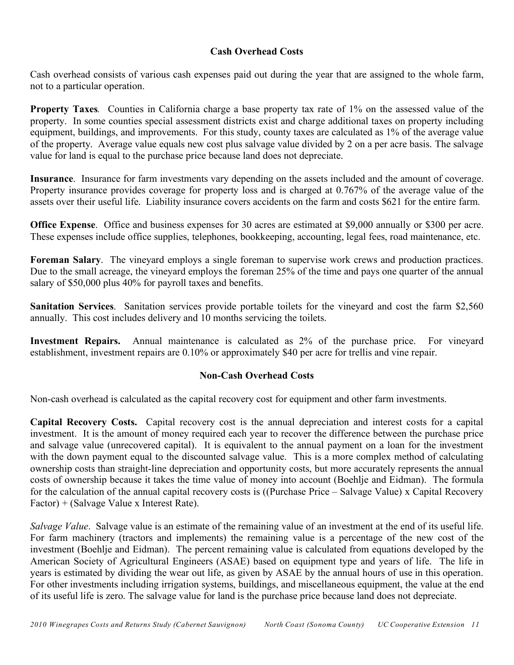## **Cash Overhead Costs**

Cash overhead consists of various cash expenses paid out during the year that are assigned to the whole farm, not to a particular operation.

**Property Taxes***.* Counties in California charge a base property tax rate of 1% on the assessed value of the property. In some counties special assessment districts exist and charge additional taxes on property including equipment, buildings, and improvements. For this study, county taxes are calculated as 1% of the average value of the property. Average value equals new cost plus salvage value divided by 2 on a per acre basis. The salvage value for land is equal to the purchase price because land does not depreciate.

**Insurance**. Insurance for farm investments vary depending on the assets included and the amount of coverage. Property insurance provides coverage for property loss and is charged at 0.767% of the average value of the assets over their useful life. Liability insurance covers accidents on the farm and costs \$621 for the entire farm.

**Office Expense**. Office and business expenses for 30 acres are estimated at \$9,000 annually or \$300 per acre. These expenses include office supplies, telephones, bookkeeping, accounting, legal fees, road maintenance, etc.

**Foreman Salary**. The vineyard employs a single foreman to supervise work crews and production practices. Due to the small acreage, the vineyard employs the foreman 25% of the time and pays one quarter of the annual salary of \$50,000 plus 40% for payroll taxes and benefits.

**Sanitation Services**. Sanitation services provide portable toilets for the vineyard and cost the farm \$2,560 annually. This cost includes delivery and 10 months servicing the toilets.

**Investment Repairs.** Annual maintenance is calculated as 2% of the purchase price. For vineyard establishment, investment repairs are 0.10% or approximately \$40 per acre for trellis and vine repair.

## **Non-Cash Overhead Costs**

Non-cash overhead is calculated as the capital recovery cost for equipment and other farm investments.

**Capital Recovery Costs.** Capital recovery cost is the annual depreciation and interest costs for a capital investment. It is the amount of money required each year to recover the difference between the purchase price and salvage value (unrecovered capital). It is equivalent to the annual payment on a loan for the investment with the down payment equal to the discounted salvage value. This is a more complex method of calculating ownership costs than straight-line depreciation and opportunity costs, but more accurately represents the annual costs of ownership because it takes the time value of money into account (Boehlje and Eidman). The formula for the calculation of the annual capital recovery costs is ((Purchase Price – Salvage Value) x Capital Recovery Factor) + (Salvage Value x Interest Rate).

*Salvage Value*. Salvage value is an estimate of the remaining value of an investment at the end of its useful life. For farm machinery (tractors and implements) the remaining value is a percentage of the new cost of the investment (Boehlje and Eidman). The percent remaining value is calculated from equations developed by the American Society of Agricultural Engineers (ASAE) based on equipment type and years of life. The life in years is estimated by dividing the wear out life, as given by ASAE by the annual hours of use in this operation. For other investments including irrigation systems, buildings, and miscellaneous equipment, the value at the end of its useful life is zero. The salvage value for land is the purchase price because land does not depreciate.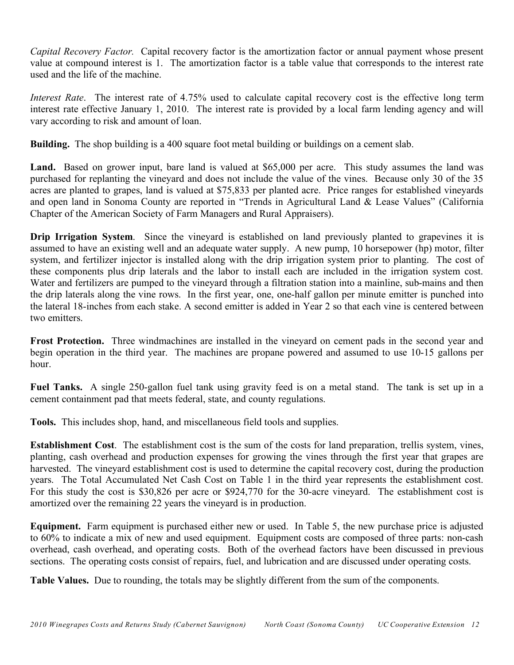*Capital Recovery Factor.* Capital recovery factor is the amortization factor or annual payment whose present value at compound interest is 1. The amortization factor is a table value that corresponds to the interest rate used and the life of the machine.

*Interest Rate*. The interest rate of 4.75% used to calculate capital recovery cost is the effective long term interest rate effective January 1, 2010. The interest rate is provided by a local farm lending agency and will vary according to risk and amount of loan.

**Building.** The shop building is a 400 square foot metal building or buildings on a cement slab.

Land. Based on grower input, bare land is valued at \$65,000 per acre. This study assumes the land was purchased for replanting the vineyard and does not include the value of the vines. Because only 30 of the 35 acres are planted to grapes, land is valued at \$75,833 per planted acre. Price ranges for established vineyards and open land in Sonoma County are reported in "Trends in Agricultural Land & Lease Values" (California Chapter of the American Society of Farm Managers and Rural Appraisers).

**Drip Irrigation System.** Since the vineyard is established on land previously planted to grapevines it is assumed to have an existing well and an adequate water supply. A new pump, 10 horsepower (hp) motor, filter system, and fertilizer injector is installed along with the drip irrigation system prior to planting. The cost of these components plus drip laterals and the labor to install each are included in the irrigation system cost. Water and fertilizers are pumped to the vineyard through a filtration station into a mainline, sub-mains and then the drip laterals along the vine rows. In the first year, one, one-half gallon per minute emitter is punched into the lateral 18-inches from each stake. A second emitter is added in Year 2 so that each vine is centered between two emitters.

**Frost Protection.** Three windmachines are installed in the vineyard on cement pads in the second year and begin operation in the third year. The machines are propane powered and assumed to use 10-15 gallons per hour.

**Fuel Tanks.** A single 250-gallon fuel tank using gravity feed is on a metal stand. The tank is set up in a cement containment pad that meets federal, state, and county regulations.

**Tools.** This includes shop, hand, and miscellaneous field tools and supplies.

**Establishment Cost**. The establishment cost is the sum of the costs for land preparation, trellis system, vines, planting, cash overhead and production expenses for growing the vines through the first year that grapes are harvested. The vineyard establishment cost is used to determine the capital recovery cost, during the production years. The Total Accumulated Net Cash Cost on Table 1 in the third year represents the establishment cost. For this study the cost is \$30,826 per acre or \$924,770 for the 30-acre vineyard. The establishment cost is amortized over the remaining 22 years the vineyard is in production.

**Equipment.** Farm equipment is purchased either new or used. In Table 5, the new purchase price is adjusted to 60% to indicate a mix of new and used equipment. Equipment costs are composed of three parts: non-cash overhead, cash overhead, and operating costs. Both of the overhead factors have been discussed in previous sections. The operating costs consist of repairs, fuel, and lubrication and are discussed under operating costs.

**Table Values.** Due to rounding, the totals may be slightly different from the sum of the components.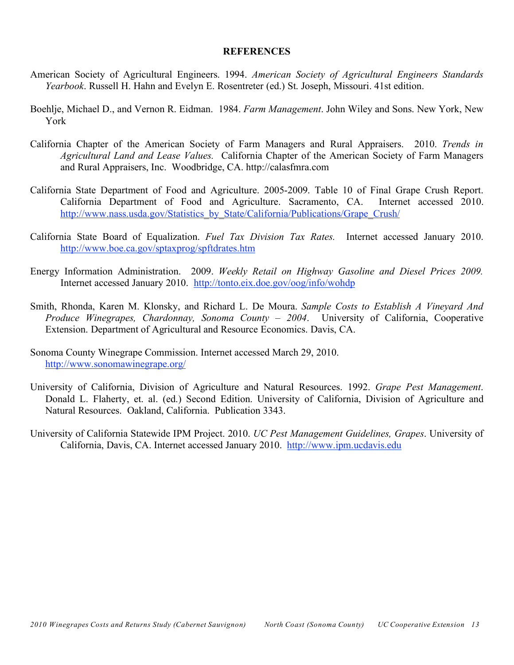#### **REFERENCES**

- American Society of Agricultural Engineers. 1994. *American Society of Agricultural Engineers Standards Yearbook*. Russell H. Hahn and Evelyn E. Rosentreter (ed.) St. Joseph, Missouri. 41st edition.
- Boehlje, Michael D., and Vernon R. Eidman. 1984. *Farm Management*. John Wiley and Sons. New York, New York
- California Chapter of the American Society of Farm Managers and Rural Appraisers. 2010. *Trends in Agricultural Land and Lease Values.* California Chapter of the American Society of Farm Managers and Rural Appraisers, Inc. Woodbridge, CA. http://calasfmra.com
- California State Department of Food and Agriculture. 2005-2009. Table 10 of Final Grape Crush Report. California Department of Food and Agriculture. Sacramento, CA. Internet accessed 2010. http://www.nass.usda.gov/Statistics\_by\_State/California/Publications/Grape\_Crush/
- California State Board of Equalization. *Fuel Tax Division Tax Rates.* Internet accessed January 2010. http://www.boe.ca.gov/sptaxprog/spftdrates.htm
- Energy Information Administration. 2009. *Weekly Retail on Highway Gasoline and Diesel Prices 2009.* Internet accessed January 2010. http://tonto.eix.doe.gov/oog/info/wohdp
- Smith, Rhonda, Karen M. Klonsky, and Richard L. De Moura. *Sample Costs to Establish A Vineyard And Produce Winegrapes, Chardonnay, Sonoma County – 2004*. University of California, Cooperative Extension. Department of Agricultural and Resource Economics. Davis, CA.
- Sonoma County Winegrape Commission. Internet accessed March 29, 2010. http://www.sonomawinegrape.org/
- University of California, Division of Agriculture and Natural Resources. 1992. *Grape Pest Management*. Donald L. Flaherty, et. al. (ed.) Second Edition. University of California, Division of Agriculture and Natural Resources. Oakland, California. Publication 3343.
- University of California Statewide IPM Project. 2010. *UC Pest Management Guidelines, Grapes*. University of California, Davis, CA. Internet accessed January 2010. http://www.ipm.ucdavis.edu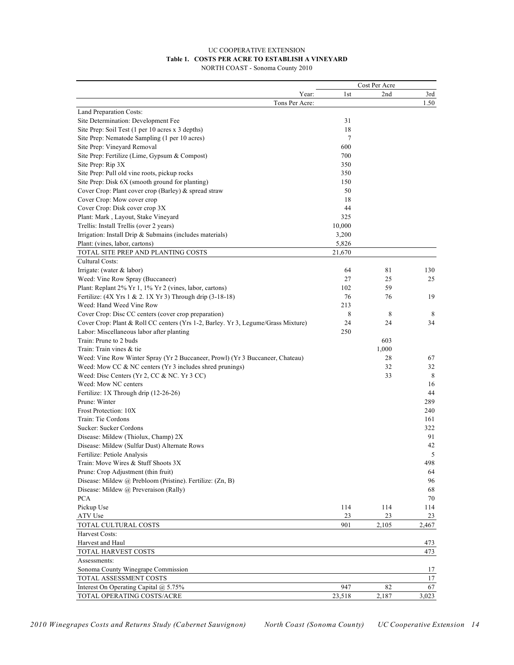#### UC COOPERATIVE EXTENSION **Table 1. COSTS PER ACRE TO ESTABLISH A VINEYARD** NORTH COAST - Sonoma County 2010

|                                                                                   |              | Cost Per Acre |          |
|-----------------------------------------------------------------------------------|--------------|---------------|----------|
|                                                                                   | 1st<br>Year: | 2nd           | 3rd      |
| Tons Per Acre:                                                                    |              |               | 1.50     |
| Land Preparation Costs:                                                           |              |               |          |
| Site Determination: Development Fee                                               | 31           |               |          |
| Site Prep: Soil Test (1 per 10 acres x 3 depths)                                  | 18           |               |          |
| Site Prep: Nematode Sampling (1 per 10 acres)                                     | 7            |               |          |
| Site Prep: Vineyard Removal                                                       | 600          |               |          |
| Site Prep: Fertilize (Lime, Gypsum & Compost)                                     | 700          |               |          |
| Site Prep: Rip 3X                                                                 | 350          |               |          |
| Site Prep: Pull old vine roots, pickup rocks                                      | 350          |               |          |
| Site Prep: Disk 6X (smooth ground for planting)                                   | 150          |               |          |
| Cover Crop: Plant cover crop (Barley) & spread straw                              | 50           |               |          |
| Cover Crop: Mow cover crop                                                        | 18           |               |          |
| Cover Crop: Disk cover crop 3X                                                    | 44           |               |          |
| Plant: Mark, Layout, Stake Vineyard                                               | 325          |               |          |
| Trellis: Install Trellis (over 2 years)                                           | 10,000       |               |          |
| Irrigation: Install Drip & Submains (includes materials)                          | 3,200        |               |          |
| Plant: (vines, labor, cartons)                                                    | 5,826        |               |          |
| TOTAL SITE PREP AND PLANTING COSTS                                                | 21,670       |               |          |
| Cultural Costs:                                                                   |              |               |          |
| Irrigate: (water $&$ labor)                                                       | 64           | 81            | 130      |
| Weed: Vine Row Spray (Buccaneer)                                                  | 27           | 25            | 25       |
| Plant: Replant 2% Yr 1, 1% Yr 2 (vines, labor, cartons)                           | 102          | 59            |          |
| Fertilize: (4X Yrs 1 & 2.1X Yr 3) Through drip (3-18-18)                          | 76           | 76            | 19       |
| Weed: Hand Weed Vine Row                                                          | 213          |               |          |
| Cover Crop: Disc CC centers (cover crop preparation)                              | 8            | 8             | 8        |
| Cover Crop: Plant & Roll CC centers (Yrs 1-2, Barley. Yr 3, Legume/Grass Mixture) | 24           | 24            | 34       |
| Labor: Miscellaneous labor after planting                                         | 250          |               |          |
| Train: Prune to 2 buds                                                            |              | 603           |          |
| Train: Train vines & tie                                                          |              | 1,000         |          |
| Weed: Vine Row Winter Spray (Yr 2 Buccaneer, Prowl) (Yr 3 Buccaneer, Chateau)     |              | 28            | 67       |
| Weed: Mow CC $& NC$ centers (Yr 3 includes shred prunings)                        |              | 32            | 32       |
| Weed: Disc Centers (Yr 2, CC & NC. Yr 3 CC)                                       |              | 33            | 8        |
| Weed: Mow NC centers                                                              |              |               | 16       |
| Fertilize: 1X Through drip (12-26-26)                                             |              |               | 44       |
| Prune: Winter                                                                     |              |               | 289      |
| Frost Protection: 10X                                                             |              |               | 240      |
| Train: Tie Cordons                                                                |              |               | 161      |
| Sucker: Sucker Cordons                                                            |              |               | 322      |
| Disease: Mildew (Thiolux, Champ) 2X                                               |              |               | 91       |
| Disease: Mildew (Sulfur Dust) Alternate Rows                                      |              |               | 42       |
| Fertilize: Petiole Analysis                                                       |              |               | 5        |
| Train: Move Wires & Stuff Shoots 3X                                               |              |               | 498      |
| Prune: Crop Adjustment (thin fruit)                                               |              |               |          |
| Disease: Mildew @ Prebloom (Pristine). Fertilize: (Zn, B)                         |              |               | 64<br>96 |
| Disease: Mildew @ Preveraison (Rally)                                             |              |               |          |
|                                                                                   |              |               | 68       |
| <b>PCA</b>                                                                        |              |               | 70       |
| Pickup Use                                                                        | 114          | 114           | 114      |
| ATV Use                                                                           | 23           | 23            | 23       |
| TOTAL CULTURAL COSTS                                                              | 901          | 2,105         | 2,467    |
| Harvest Costs:                                                                    |              |               |          |
| Harvest and Haul                                                                  |              |               | 473      |
| TOTAL HARVEST COSTS                                                               |              |               | 473      |
| Assessments:                                                                      |              |               |          |
| Sonoma County Winegrape Commission                                                |              |               | 17       |
| TOTAL ASSESSMENT COSTS                                                            |              |               | 17       |
| Interest On Operating Capital @ 5.75%                                             | 947          | 82            | 67       |
| TOTAL OPERATING COSTS/ACRE                                                        | 23,518       | 2,187         | 3,023    |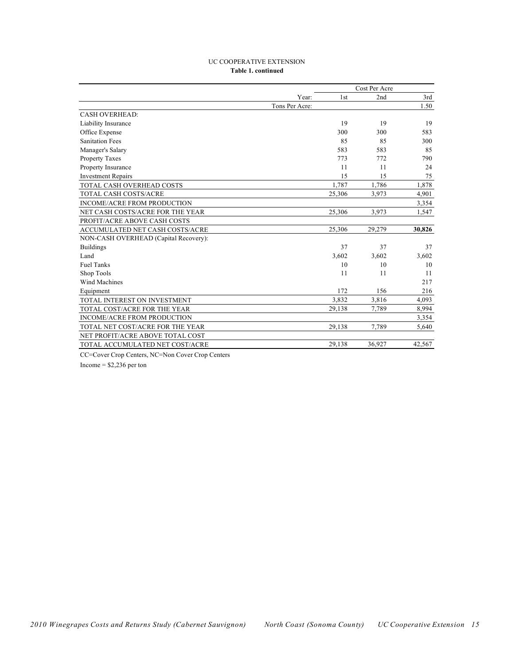#### UC COOPERATIVE EXTENSION **Table 1. continued**

|                                       |        | Cost Per Acre |        |  |  |
|---------------------------------------|--------|---------------|--------|--|--|
| Year:                                 | 1st    | 2nd           | 3rd    |  |  |
| Tons Per Acre:                        |        |               | 1.50   |  |  |
| <b>CASH OVERHEAD:</b>                 |        |               |        |  |  |
| Liability Insurance                   | 19     | 19            | 19     |  |  |
| Office Expense                        | 300    | 300           | 583    |  |  |
| <b>Sanitation Fees</b>                | 85     | 85            | 300    |  |  |
| Manager's Salary                      | 583    | 583           | 85     |  |  |
| <b>Property Taxes</b>                 | 773    | 772           | 790    |  |  |
| Property Insurance                    | 11     | 11            | 24     |  |  |
| <b>Investment Repairs</b>             | 15     | 15            | 75     |  |  |
| TOTAL CASH OVERHEAD COSTS             | 1,787  | 1,786         | 1,878  |  |  |
| <b>TOTAL CASH COSTS/ACRE</b>          | 25,306 | 3,973         | 4,901  |  |  |
| INCOME/ACRE FROM PRODUCTION           |        |               | 3,354  |  |  |
| NET CASH COSTS/ACRE FOR THE YEAR      | 25,306 | 3,973         | 1,547  |  |  |
| PROFIT/ACRE ABOVE CASH COSTS          |        |               |        |  |  |
| ACCUMULATED NET CASH COSTS/ACRE       | 25,306 | 29,279        | 30,826 |  |  |
| NON-CASH OVERHEAD (Capital Recovery): |        |               |        |  |  |
| <b>Buildings</b>                      | 37     | 37            | 37     |  |  |
| Land                                  | 3,602  | 3,602         | 3,602  |  |  |
| <b>Fuel Tanks</b>                     | 10     | 10            | 10     |  |  |
| Shop Tools                            | 11     | 11            | 11     |  |  |
| Wind Machines                         |        |               | 217    |  |  |
| Equipment                             | 172    | 156           | 216    |  |  |
| TOTAL INTEREST ON INVESTMENT          | 3,832  | 3,816         | 4,093  |  |  |
| TOTAL COST/ACRE FOR THE YEAR          | 29,138 | 7,789         | 8,994  |  |  |
| INCOME/ACRE FROM PRODUCTION           |        |               | 3,354  |  |  |
| TOTAL NET COST/ACRE FOR THE YEAR      | 29,138 | 7,789         | 5,640  |  |  |
| NET PROFIT/ACRE ABOVE TOTAL COST      |        |               |        |  |  |
| TOTAL ACCUMULATED NET COST/ACRE       | 29,138 | 36,927        | 42,567 |  |  |

CC=Cover Crop Centers, NC=Non Cover Crop Centers

Income  $=$  \$2,236 per ton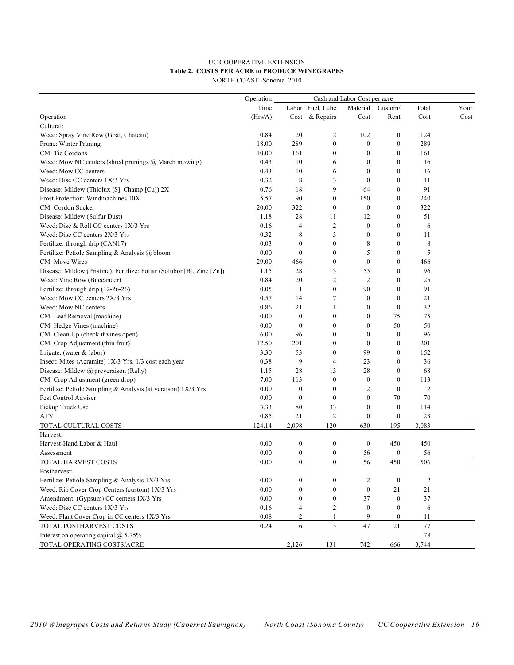#### UC COOPERATIVE EXTENSION **Table 2. COSTS PER ACRE to PRODUCE WINEGRAPES** NORTH COAST -Sonoma 2010

|                                                                        | Operation |                  |                  |                                          |                  |                |      |
|------------------------------------------------------------------------|-----------|------------------|------------------|------------------------------------------|------------------|----------------|------|
|                                                                        | Time      |                  | Labor Fuel, Lube | Cash and Labor Cost per acre<br>Material | Custom/          | Total          | Your |
| Operation                                                              | (Hrs/A)   |                  | Cost & Repairs   | Cost                                     | Rent             | Cost           | Cost |
| Cultural:                                                              |           |                  |                  |                                          |                  |                |      |
| Weed: Spray Vine Row (Goal, Chateau)                                   | 0.84      | 20               | 2                | 102                                      | $\boldsymbol{0}$ | 124            |      |
| Prune: Winter Pruning                                                  | 18.00     | 289              | $\boldsymbol{0}$ | $\boldsymbol{0}$                         | $\mathbf{0}$     | 289            |      |
| CM: Tie Cordons                                                        | 10.00     | 161              | $\boldsymbol{0}$ | $\boldsymbol{0}$                         | $\mathbf{0}$     | 161            |      |
| Weed: Mow NC centers (shred prunings @ March mowing)                   | 0.43      | 10               | 6                | $\mathbf{0}$                             | $\theta$         | 16             |      |
| Weed: Mow CC centers                                                   | 0.43      | 10               | 6                | $\boldsymbol{0}$                         | $\theta$         | 16             |      |
| Weed: Disc CC centers 1X/3 Yrs                                         | 0.32      | 8                | 3                | $\boldsymbol{0}$                         | $\boldsymbol{0}$ | 11             |      |
| Disease: Mildew (Thiolux [S]. Champ [Cu]) 2X                           | 0.76      | 18               | 9                | 64                                       | $\mathbf{0}$     | 91             |      |
| Frost Protection: Windmachines 10X                                     | 5.57      | 90               | $\boldsymbol{0}$ | 150                                      | $\mathbf{0}$     | 240            |      |
| CM: Cordon Sucker                                                      | 20.00     | 322              | $\mathbf{0}$     | $\boldsymbol{0}$                         | $\theta$         | 322            |      |
| Disease: Mildew (Sulfur Dust)                                          | 1.18      | 28               | 11               | 12                                       | $\mathbf{0}$     | 51             |      |
| Weed: Disc & Roll CC centers 1X/3 Yrs                                  | 0.16      | 4                | $\overline{c}$   | $\boldsymbol{0}$                         | $\mathbf{0}$     | 6              |      |
| Weed: Disc CC centers 2X/3 Yrs                                         | 0.32      | 8                | 3                | $\boldsymbol{0}$                         | $\mathbf{0}$     | 11             |      |
| Fertilize: through drip (CAN17)                                        | 0.03      | $\boldsymbol{0}$ | $\boldsymbol{0}$ | 8                                        | $\mathbf{0}$     | 8              |      |
| Fertilize: Petiole Sampling & Analysis @ bloom                         | 0.00      | $\mathbf{0}$     | $\mathbf{0}$     | 5                                        | $\theta$         | 5              |      |
| CM: Move Wires                                                         | 29.00     | 466              | $\boldsymbol{0}$ | $\boldsymbol{0}$                         | $\mathbf{0}$     | 466            |      |
| Disease: Mildew (Pristine). Fertilize: Foliar (Solubor [B], Zinc [Zn]) | 1.15      | 28               | 13               | 55                                       | $\boldsymbol{0}$ | 96             |      |
| Weed: Vine Row (Buccaneer)                                             | 0.84      | 20               | $\overline{c}$   | $\overline{c}$                           | $\mathbf{0}$     | 25             |      |
| Fertilize: through drip (12-26-26)                                     | 0.05      | 1                | $\boldsymbol{0}$ | 90                                       | $\mathbf{0}$     | 91             |      |
| Weed: Mow CC centers 2X/3 Yrs                                          | 0.57      | 14               | 7                | $\boldsymbol{0}$                         | $\theta$         | 21             |      |
| Weed: Mow NC centers                                                   | 0.86      | 21               | 11               | $\boldsymbol{0}$                         | $\mathbf{0}$     | 32             |      |
| CM: Leaf Removal (machine)                                             | 0.00      | $\boldsymbol{0}$ | $\boldsymbol{0}$ | $\boldsymbol{0}$                         | 75               | 75             |      |
| CM: Hedge Vines (machine)                                              | 0.00      | $\boldsymbol{0}$ | $\mathbf{0}$     | $\boldsymbol{0}$                         | 50               | 50             |      |
| CM: Clean Up (check if vines open)                                     | 6.00      | 96               | $\boldsymbol{0}$ | $\boldsymbol{0}$                         | $\mathbf{0}$     | 96             |      |
| CM: Crop Adjustment (thin fruit)                                       | 12.50     | 201              | $\mathbf{0}$     | $\mathbf{0}$                             | $\Omega$         | 201            |      |
| Irrigate: (water $&$ labor)                                            | 3.30      | 53               | $\boldsymbol{0}$ | 99                                       | $\mathbf{0}$     | 152            |      |
| Insect: Mites (Acramite) 1X/3 Yrs. 1/3 cost each year                  | 0.38      | 9                | $\overline{4}$   | 23                                       | $\boldsymbol{0}$ | 36             |      |
| Disease: Mildew @ preveraison (Rally)                                  | 1.15      | 28               | 13               | 28                                       | $\mathbf{0}$     | 68             |      |
| CM: Crop Adjustment (green drop)                                       | 7.00      | 113              | $\boldsymbol{0}$ | $\boldsymbol{0}$                         | $\mathbf{0}$     | 113            |      |
| Fertilize: Petiole Sampling & Analysis (at veraison) 1X/3 Yrs          | 0.00      | $\mathbf{0}$     | $\mathbf{0}$     | $\overline{2}$                           | $\theta$         | $\overline{2}$ |      |
| Pest Control Adviser                                                   | 0.00      | $\boldsymbol{0}$ | $\boldsymbol{0}$ | $\boldsymbol{0}$                         | 70               | 70             |      |
| Pickup Truck Use                                                       | 3.33      | 80               | 33               | $\boldsymbol{0}$                         | $\mathbf{0}$     | 114            |      |
| <b>ATV</b>                                                             | 0.85      | 21               | $\overline{c}$   | $\boldsymbol{0}$                         | $\mathbf{0}$     | 23             |      |
| TOTAL CULTURAL COSTS                                                   | 124.14    | 2,098            | 120              | 630                                      | 195              | 3,083          |      |
| Harvest:                                                               |           |                  |                  |                                          |                  |                |      |
| Harvest-Hand Labor & Haul                                              | 0.00      | $\boldsymbol{0}$ | $\boldsymbol{0}$ | $\boldsymbol{0}$                         | 450              | 450            |      |
| Assessment                                                             | 0.00      | $\mathbf{0}$     | $\boldsymbol{0}$ | 56                                       | $\theta$         | 56             |      |
| <b>TOTAL HARVEST COSTS</b>                                             | 0.00      | $\overline{0}$   | $\boldsymbol{0}$ | 56                                       | 450              | 506            |      |
| Postharvest:                                                           |           |                  |                  |                                          |                  |                |      |
| Fertilize: Petiole Sampling & Analysis 1X/3 Yrs                        | 0.00      | $\mathbf{0}$     | $\mathbf{0}$     | $\overline{c}$                           | $\overline{0}$   | $\overline{2}$ |      |
| Weed: Rip Cover Crop Centers (custom) 1X/3 Yrs                         | 0.00      | $\mathbf{0}$     | $\mathbf{0}$     | $\boldsymbol{0}$                         | 21               | 21             |      |
| Amendment: (Gypsum) CC centers 1X/3 Yrs                                | 0.00      | $\boldsymbol{0}$ | $\boldsymbol{0}$ | 37                                       | $\bf{0}$         | 37             |      |
| Weed: Disc CC centers 1X/3 Yrs                                         | 0.16      | $\overline{4}$   | $\overline{c}$   | $\boldsymbol{0}$                         | $\mathbf{0}$     | 6              |      |
| Weed: Plant Cover Crop in CC centers 1X/3 Yrs                          | 0.08      | $\overline{c}$   | 1                | 9                                        | $\boldsymbol{0}$ | 11             |      |
| TOTAL POSTHARVEST COSTS                                                | 0.24      | 6                | 3                | 47                                       | 21               | $77 \,$        |      |
| Interest on operating capital $@$ 5.75%                                |           |                  |                  |                                          |                  | 78             |      |
| TOTAL OPERATING COSTS/ACRE                                             |           | 2,126            | 131              | 742                                      | 666              | 3,744          |      |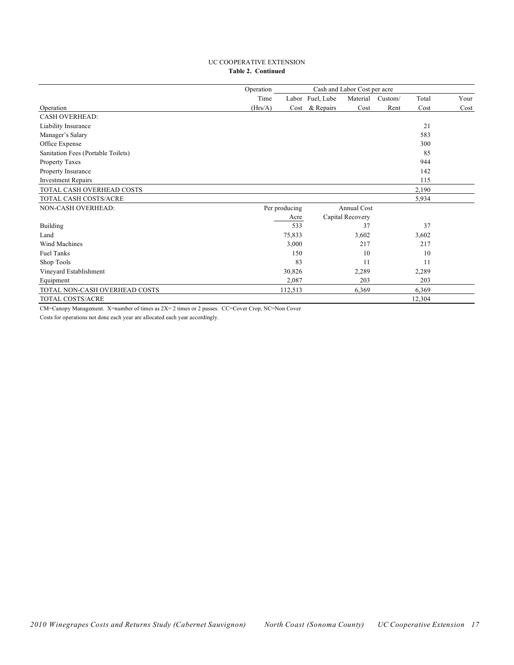#### UC COOPERATIVE EXTENSION **Table 2. Continued**

|                                    | Operation |               |                  |                    |         |        |      |
|------------------------------------|-----------|---------------|------------------|--------------------|---------|--------|------|
|                                    | Time      |               | Labor Fuel, Lube | Material           | Custom/ | Total  | Your |
| Operation                          | (Hrs/A)   | Cost          | & Repairs        | Cost               | Rent    | Cost   | Cost |
| <b>CASH OVERHEAD:</b>              |           |               |                  |                    |         |        |      |
| Liability Insurance                |           |               |                  |                    |         | 21     |      |
| Manager's Salary                   |           |               |                  |                    |         | 583    |      |
| Office Expense                     |           |               |                  |                    |         | 300    |      |
| Sanitation Fees (Portable Toilets) |           |               |                  |                    |         | 85     |      |
| Property Taxes                     |           |               |                  |                    |         | 944    |      |
| Property Insurance                 |           |               |                  |                    |         | 142    |      |
| <b>Investment Repairs</b>          |           |               |                  |                    |         | 115    |      |
| TOTAL CASH OVERHEAD COSTS          |           |               |                  |                    |         | 2,190  |      |
| TOTAL CASH COSTS/ACRE              |           |               |                  |                    |         | 5,934  |      |
| NON-CASH OVERHEAD:                 |           | Per producing |                  | <b>Annual Cost</b> |         |        |      |
|                                    |           | Acre          |                  | Capital Recovery   |         |        |      |
| Building                           |           | 533           |                  | 37                 |         | 37     |      |
| Land                               |           | 75,833        |                  | 3,602              |         | 3,602  |      |
| Wind Machines                      |           | 3,000         |                  | 217                |         | 217    |      |
| Fuel Tanks                         |           | 150           |                  | 10                 |         | 10     |      |
| Shop Tools                         |           | 83            |                  | 11                 |         | 11     |      |
| Vineyard Establishment             |           | 30,826        |                  | 2,289              |         | 2,289  |      |
| Equipment                          |           | 2,087         |                  | 203                |         | 203    |      |
| TOTAL NON-CASH OVERHEAD COSTS      |           | 112,513       |                  | 6,369              |         | 6,369  |      |
| TOTAL COSTS/ACRE                   |           |               |                  |                    |         | 12,304 |      |

CM=Canopy Management. X=number of times as 2X= 2 times or 2 passes. CC=Cover Crop, NC=Non Cover

Costs for operations not done each year are allocated each year accordingly.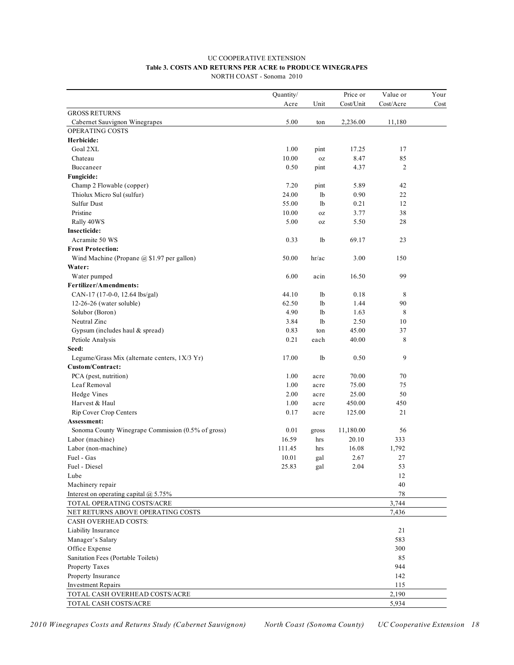#### UC COOPERATIVE EXTENSION **Table 3. COSTS AND RETURNS PER ACRE to PRODUCE WINEGRAPES** NORTH COAST - Sonoma 2010

|                                                    | Quantity/ |       | Price or  | Value or       | Your |
|----------------------------------------------------|-----------|-------|-----------|----------------|------|
|                                                    | Acre      | Unit  | Cost/Unit | Cost/Acre      | Cost |
| <b>GROSS RETURNS</b>                               |           |       |           |                |      |
| Cabernet Sauvignon Winegrapes                      | 5.00      | ton   | 2,236.00  | 11,180         |      |
| OPERATING COSTS                                    |           |       |           |                |      |
| Herbicide:                                         |           |       |           |                |      |
| Goal 2XL                                           | 1.00      | pint  | 17.25     | 17             |      |
| Chateau                                            | 10.00     | 0Z    | 8.47      | 85             |      |
| Buccaneer                                          | 0.50      | pint  | 4.37      | $\overline{c}$ |      |
| <b>Fungicide:</b>                                  |           |       |           |                |      |
| Champ 2 Flowable (copper)                          | 7.20      | pint  | 5.89      | 42             |      |
| Thiolux Micro Sul (sulfur)                         | 24.00     | 1b    | 0.90      | 22             |      |
| Sulfur Dust                                        | 55.00     | 1b    | 0.21      | 12             |      |
| Pristine                                           | 10.00     | 0Z    | 3.77      | 38             |      |
| Rally 40WS                                         | 5.00      | 0Z    | 5.50      | 28             |      |
| Insecticide:                                       |           |       |           |                |      |
| Acramite 50 WS                                     | 0.33      | 1b    | 69.17     | 23             |      |
| <b>Frost Protection:</b>                           |           |       |           |                |      |
| Wind Machine (Propane $(a)$ \$1.97 per gallon)     | 50.00     | hr/ac | 3.00      | 150            |      |
| Water:                                             |           |       |           |                |      |
| Water pumped                                       | 6.00      | acin  | 16.50     | 99             |      |
| <b>Fertilizer/Amendments:</b>                      |           |       |           |                |      |
| CAN-17 (17-0-0, 12.64 lbs/gal)                     | 44.10     | 1b    | 0.18      | 8              |      |
| 12-26-26 (water soluble)                           | 62.50     | 1b    | 1.44      | 90             |      |
| Solubor (Boron)                                    | 4.90      | 1b    | 1.63      | 8              |      |
| Neutral Zinc                                       | 3.84      | 1b    | 2.50      | 10             |      |
| Gypsum (includes haul $&$ spread)                  | 0.83      | ton   | 45.00     | 37             |      |
| Petiole Analysis                                   | 0.21      | each  | 40.00     | 8              |      |
| Seed:                                              |           |       |           |                |      |
| Legume/Grass Mix (alternate centers, 1X/3 Yr)      | 17.00     | 1b    | 0.50      | 9              |      |
| Custom/Contract:                                   |           |       |           |                |      |
| PCA (pest, nutrition)                              | 1.00      | acre  | 70.00     | 70             |      |
| Leaf Removal                                       | 1.00      | acre  | 75.00     | 75             |      |
| Hedge Vines                                        | 2.00      | acre  | 25.00     | 50             |      |
| Harvest & Haul                                     | 1.00      | acre  | 450.00    | 450            |      |
| Rip Cover Crop Centers                             | 0.17      | acre  | 125.00    | 21             |      |
| Assessment:                                        |           |       |           |                |      |
| Sonoma County Winegrape Commission (0.5% of gross) | 0.01      | gross | 11,180.00 | 56             |      |
| Labor (machine)                                    | 16.59     | hrs   | 20.10     | 333            |      |
| Labor (non-machine)                                | 111.45    | hrs   | 16.08     | 1,792          |      |
| Fuel - Gas                                         | 10.01     | gal   | 2.67      | $27\,$         |      |
| Fuel - Diesel                                      | 25.83     | gal   | 2.04      | 53             |      |
| Lube                                               |           |       |           | 12             |      |
| Machinery repair                                   |           |       |           | 40             |      |
| Interest on operating capital $@$ 5.75%            |           |       |           | 78             |      |
| TOTAL OPERATING COSTS/ACRE                         |           |       |           | 3,744          |      |
| NET RETURNS ABOVE OPERATING COSTS                  |           |       |           | 7,436          |      |
| CASH OVERHEAD COSTS:                               |           |       |           |                |      |
| Liability Insurance                                |           |       |           | 21             |      |
| Manager's Salary                                   |           |       |           | 583            |      |
| Office Expense                                     |           |       |           | 300            |      |
| Sanitation Fees (Portable Toilets)                 |           |       |           | 85             |      |
| Property Taxes                                     |           |       |           | 944            |      |
| Property Insurance                                 |           |       |           | 142            |      |
| <b>Investment Repairs</b>                          |           |       |           | 115            |      |
| TOTAL CASH OVERHEAD COSTS/ACRE                     |           |       |           | 2,190          |      |
| TOTAL CASH COSTS/ACRE                              |           |       |           | 5,934          |      |

*2010 Winegrapes Costs and Returns Study (Cabernet Sauvignon) North Coast (Sonoma County) UC Cooperative Extension 18*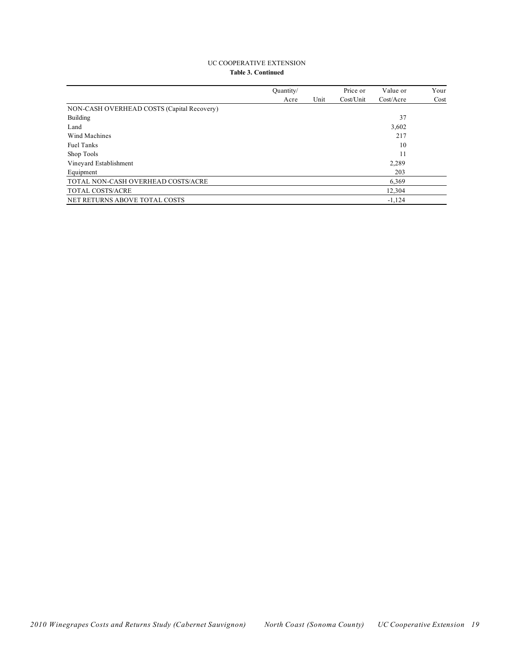#### UC COOPERATIVE EXTENSION **Table 3. Continued**

|                                            | Quantity/ |      | Price or  | Value or  | Your |
|--------------------------------------------|-----------|------|-----------|-----------|------|
|                                            | Acre      | Unit | Cost/Unit | Cost/Accr | Cost |
| NON-CASH OVERHEAD COSTS (Capital Recovery) |           |      |           |           |      |
| <b>Building</b>                            |           |      |           | 37        |      |
| Land                                       |           |      |           | 3,602     |      |
| Wind Machines                              |           |      |           | 217       |      |
| <b>Fuel Tanks</b>                          |           |      |           | 10        |      |
| Shop Tools                                 |           |      |           | 11        |      |
| Vineyard Establishment                     |           |      |           | 2,289     |      |
| Equipment                                  |           |      |           | 203       |      |
| TOTAL NON-CASH OVERHEAD COSTS/ACRE         |           |      |           | 6,369     |      |
| <b>TOTAL COSTS/ACRE</b>                    |           |      |           | 12,304    |      |
| NET RETURNS ABOVE TOTAL COSTS              |           |      |           | $-1.124$  |      |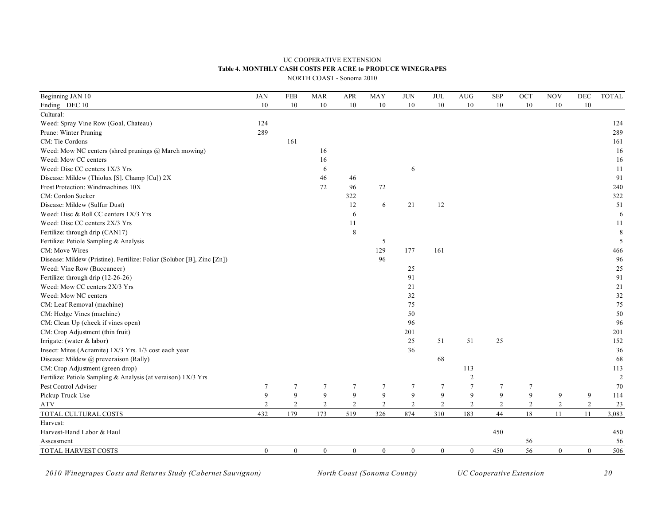### UC COOPERATIVE EXTENSION **Table 4. MONTHLY CASH COSTS PER ACRE to PRODUCE WINEGRAPES**

| Beginning JAN 10                                                       | <b>JAN</b>       | <b>FEB</b>       | <b>MAR</b>       | <b>APR</b>     | <b>MAY</b>     | <b>JUN</b>       | $\text{JUL}$   | AUG              | <b>SEP</b>     | OCT              | <b>NOV</b>       | DEC              | <b>TOTAL</b> |
|------------------------------------------------------------------------|------------------|------------------|------------------|----------------|----------------|------------------|----------------|------------------|----------------|------------------|------------------|------------------|--------------|
| Ending DEC 10                                                          | $10\,$           | $10\,$           | 10               | 10             | 10             | 10               | 10             | 10               | 10             | 10               | $10\,$           | $10\,$           |              |
| Cultural:                                                              |                  |                  |                  |                |                |                  |                |                  |                |                  |                  |                  |              |
| Weed: Spray Vine Row (Goal, Chateau)                                   | 124              |                  |                  |                |                |                  |                |                  |                |                  |                  |                  | 124          |
| Prune: Winter Pruning                                                  | 289              |                  |                  |                |                |                  |                |                  |                |                  |                  |                  | 289          |
| CM: Tie Cordons                                                        |                  | 161              |                  |                |                |                  |                |                  |                |                  |                  |                  | 161          |
| Weed: Mow NC centers (shred prunings @ March mowing)                   |                  |                  | 16               |                |                |                  |                |                  |                |                  |                  |                  | 16           |
| Weed: Mow CC centers                                                   |                  |                  | 16               |                |                |                  |                |                  |                |                  |                  |                  | 16           |
| Weed: Disc CC centers 1X/3 Yrs                                         |                  |                  | 6                |                |                | 6                |                |                  |                |                  |                  |                  | 11           |
| Disease: Mildew (Thiolux [S]. Champ [Cu]) 2X                           |                  |                  | 46               | 46             |                |                  |                |                  |                |                  |                  |                  | 91           |
| Frost Protection: Windmachines 10X                                     |                  |                  | 72               | 96             | 72             |                  |                |                  |                |                  |                  |                  | 240          |
| CM: Cordon Sucker                                                      |                  |                  |                  | 322            |                |                  |                |                  |                |                  |                  |                  | 322          |
| Disease: Mildew (Sulfur Dust)                                          |                  |                  |                  | 12             | 6              | 21               | 12             |                  |                |                  |                  |                  | 51           |
| Weed: Disc & Roll CC centers 1X/3 Yrs                                  |                  |                  |                  | 6              |                |                  |                |                  |                |                  |                  |                  | 6            |
| Weed: Disc CC centers 2X/3 Yrs                                         |                  |                  |                  | 11             |                |                  |                |                  |                |                  |                  |                  | 11           |
| Fertilize: through drip (CAN17)                                        |                  |                  |                  | $\,8\,$        |                |                  |                |                  |                |                  |                  |                  | $\,8\,$      |
| Fertilize: Petiole Sampling & Analysis                                 |                  |                  |                  |                | 5              |                  |                |                  |                |                  |                  |                  | 5            |
| CM: Move Wires                                                         |                  |                  |                  |                | 129            | 177              | 161            |                  |                |                  |                  |                  | 466          |
| Disease: Mildew (Pristine). Fertilize: Foliar (Solubor [B], Zinc [Zn]) |                  |                  |                  |                | 96             |                  |                |                  |                |                  |                  |                  | 96           |
| Weed: Vine Row (Buccaneer)                                             |                  |                  |                  |                |                | 25               |                |                  |                |                  |                  |                  | $25\,$       |
| Fertilize: through drip (12-26-26)                                     |                  |                  |                  |                |                | 91               |                |                  |                |                  |                  |                  | 91           |
| Weed: Mow CC centers 2X/3 Yrs                                          |                  |                  |                  |                |                | 21               |                |                  |                |                  |                  |                  | 21           |
| Weed: Mow NC centers                                                   |                  |                  |                  |                |                | 32               |                |                  |                |                  |                  |                  | 32           |
| CM: Leaf Removal (machine)                                             |                  |                  |                  |                |                | 75               |                |                  |                |                  |                  |                  | 75           |
| CM: Hedge Vines (machine)                                              |                  |                  |                  |                |                | 50               |                |                  |                |                  |                  |                  | 50           |
| CM: Clean Up (check if vines open)                                     |                  |                  |                  |                |                | 96               |                |                  |                |                  |                  |                  | 96           |
| CM: Crop Adjustment (thin fruit)                                       |                  |                  |                  |                |                | 201              |                |                  |                |                  |                  |                  | 201          |
| Irrigate: (water & labor)                                              |                  |                  |                  |                |                | 25               | 51             | 51               | 25             |                  |                  |                  | 152          |
| Insect: Mites (Acramite) 1X/3 Yrs. 1/3 cost each year                  |                  |                  |                  |                |                | 36               |                |                  |                |                  |                  |                  | 36           |
| Disease: Mildew @ preveraison (Rally)                                  |                  |                  |                  |                |                |                  | 68             |                  |                |                  |                  |                  | 68           |
| CM: Crop Adjustment (green drop)                                       |                  |                  |                  |                |                |                  |                | 113              |                |                  |                  |                  | 113          |
| Fertilize: Petiole Sampling & Analysis (at veraison) 1X/3 Yrs          |                  |                  |                  |                |                |                  |                | $\sqrt{2}$       |                |                  |                  |                  | $\sqrt{2}$   |
| Pest Control Adviser                                                   | $7\phantom{.0}$  | $\overline{7}$   | $\tau$           | $\overline{7}$ | $\overline{7}$ | $\overline{7}$   | $\overline{7}$ | $\overline{7}$   | $\tau$         | $\boldsymbol{7}$ |                  |                  | 70           |
| Pickup Truck Use                                                       | 9                | 9                | 9                | 9              | 9              | 9                | 9              | 9                | 9              | 9                | 9                | 9                | 114          |
| <b>ATV</b>                                                             | $\overline{2}$   | $\overline{2}$   | 2                | $\overline{2}$ | $\overline{2}$ | $\overline{c}$   | $\overline{2}$ | $\overline{c}$   | $\overline{2}$ | $\overline{c}$   | $\sqrt{2}$       | $\boldsymbol{2}$ | 23           |
| TOTAL CULTURAL COSTS                                                   | 432              | 179              | 173              | 519            | 326            | 874              | 310            | 183              | 44             | 18               | 11               | 11               | 3,083        |
| Harvest:                                                               |                  |                  |                  |                |                |                  |                |                  |                |                  |                  |                  |              |
| Harvest-Hand Labor & Haul                                              |                  |                  |                  |                |                |                  |                |                  | 450            |                  |                  |                  | 450          |
| Assessment                                                             |                  |                  |                  |                |                |                  |                |                  |                | 56               |                  |                  | 56           |
| TOTAL HARVEST COSTS                                                    | $\boldsymbol{0}$ | $\boldsymbol{0}$ | $\boldsymbol{0}$ | $\mathbf{0}$   | $\mathbf{0}$   | $\boldsymbol{0}$ | $\mathbf{0}$   | $\boldsymbol{0}$ | 450            | 56               | $\boldsymbol{0}$ | $\mathbf{0}$     | 506          |

*2010 Winegrapes Costs and Returns Study (Cabernet Sauvignon) North Coast (Sonoma County) UC Cooperative Extension 20*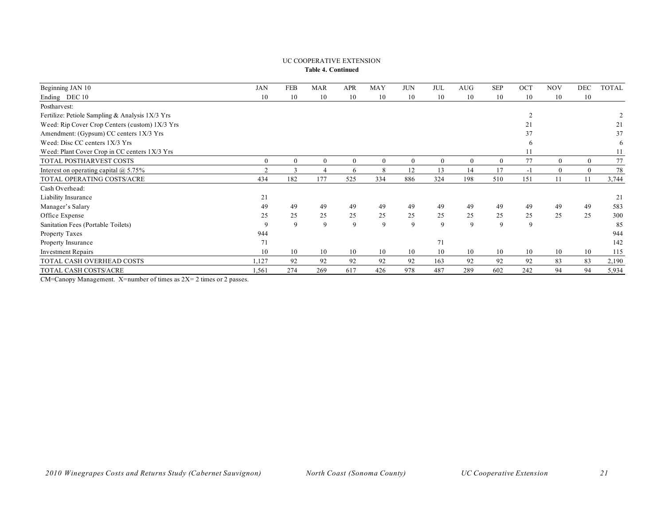#### UC COOPERATIVE EXTENSION **Table 4. Continued**

| Beginning JAN 10                                | JAN      | <b>FEB</b>   | <b>MAR</b>       | <b>APR</b>   | <b>MAY</b>   | <b>JUN</b> | <b>JUL</b> | <b>AUG</b> | <b>SEP</b> | OCT            | <b>NOV</b>       | <b>DEC</b>       | <b>TOTAL</b> |
|-------------------------------------------------|----------|--------------|------------------|--------------|--------------|------------|------------|------------|------------|----------------|------------------|------------------|--------------|
| Ending DEC 10                                   | 10       | 10           | 10               | 10           | 10           | 10         | 10         | 10         | 10         | 10             | 10               | 10               |              |
| Postharvest:                                    |          |              |                  |              |              |            |            |            |            |                |                  |                  |              |
| Fertilize: Petiole Sampling & Analysis 1X/3 Yrs |          |              |                  |              |              |            |            |            |            | $\overline{2}$ |                  |                  |              |
| Weed: Rip Cover Crop Centers (custom) 1X/3 Yrs  |          |              |                  |              |              |            |            |            |            | 21             |                  |                  | 21           |
| Amendment: (Gypsum) CC centers 1X/3 Yrs         |          |              |                  |              |              |            |            |            |            | 37             |                  |                  | 37           |
| Weed: Disc CC centers $1X/3$ Yrs                |          |              |                  |              |              |            |            |            |            | 6              |                  |                  | 6            |
| Weed: Plant Cover Crop in CC centers 1X/3 Yrs   |          |              |                  |              |              |            |            |            |            | 11             |                  |                  | 11           |
| TOTAL POSTHARVEST COSTS                         | $\Omega$ | $\theta$     | $\boldsymbol{0}$ | $\mathbf{0}$ | $\mathbf{0}$ | $\theta$   | $\theta$   | $\Omega$   | $\Omega$   | 77             | $\boldsymbol{0}$ | $\boldsymbol{0}$ | 77           |
| Interest on operating capital $\omega$ 5.75%    | $\gamma$ | $\mathbf{R}$ | $\overline{4}$   | 6            | 8            | 12         | 13         | 14         | 17         | $-1$           | $\overline{0}$   | $\mathbf{0}$     | 78           |
| TOTAL OPERATING COSTS/ACRE                      | 434      | 182          | 177              | 525          | 334          | 886        | 324        | 198        | 510        | 151            | 11               | 11               | 3,744        |
| Cash Overhead:                                  |          |              |                  |              |              |            |            |            |            |                |                  |                  |              |
| Liability Insurance                             | 21       |              |                  |              |              |            |            |            |            |                |                  |                  | 21           |
| Manager's Salary                                | 49       | 49           | 49               | 49           | 49           | 49         | 49         | 49         | 49         | 49             | 49               | 49               | 583          |
| Office Expense                                  | 25       | 25           | 25               | 25           | 25           | 25         | 25         | 25         | 25         | 25             | 25               | 25               | 300          |
| Sanitation Fees (Portable Toilets)              | 9        | 9            | 9                | 9            | 9            | 9          | 9          | 9          | 9          | 9              |                  |                  | 85           |
| Property Taxes                                  | 944      |              |                  |              |              |            |            |            |            |                |                  |                  | 944          |
| Property Insurance                              | 71       |              |                  |              |              |            | 71         |            |            |                |                  |                  | 142          |
| <b>Investment Repairs</b>                       | 10       | 10           | 10               | 10           | 10           | 10         | 10         | 10         | 10         | 10             | 10               | 10               | 115          |
| TOTAL CASH OVERHEAD COSTS                       | 1,127    | 92           | 92               | 92           | 92           | 92         | 163        | 92         | 92         | 92             | 83               | 83               | 2,190        |
| TOTAL CASH COSTS/ACRE                           | 1,561    | 274          | 269              | 617          | 426          | 978        | 487        | 289        | 602        | 242            | 94               | 94               | 5,934        |

CM=Canopy Management. X=number of times as 2X= 2 times or 2 passes.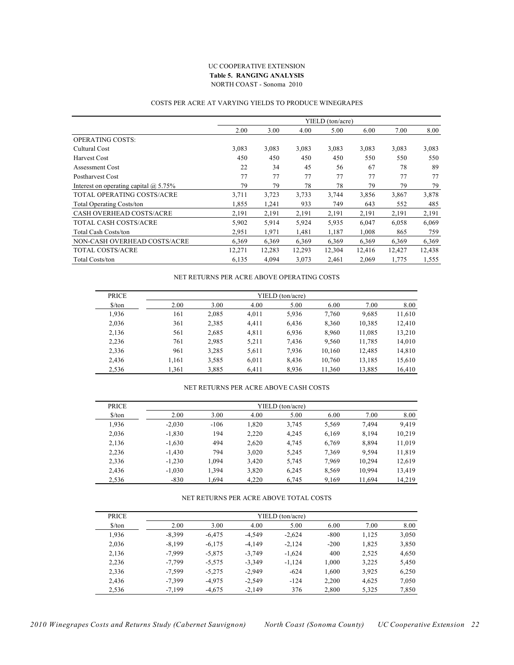#### UC COOPERATIVE EXTENSION **Table 5. RANGING ANALYSIS** NORTH COAST - Sonoma 2010

#### COSTS PER ACRE AT VARYING YIELDS TO PRODUCE WINEGRAPES

|                                              |        |        |        | YIELD (ton/acre) |        |        |        |
|----------------------------------------------|--------|--------|--------|------------------|--------|--------|--------|
|                                              | 2.00   | 3.00   | 4.00   | 5.00             | 6.00   | 7.00   | 8.00   |
| <b>OPERATING COSTS:</b>                      |        |        |        |                  |        |        |        |
| Cultural Cost                                | 3,083  | 3,083  | 3,083  | 3,083            | 3,083  | 3,083  | 3,083  |
| Harvest Cost                                 | 450    | 450    | 450    | 450              | 550    | 550    | 550    |
| Assessment Cost                              | 22     | 34     | 45     | 56               | 67     | 78     | 89     |
| <b>Postharvest Cost</b>                      | 77     | 77     | 77     | 77               | 77     | 77     | 77     |
| Interest on operating capital $\omega$ 5.75% | 79     | 79     | 78     | 78               | 79     | 79     | 79     |
| TOTAL OPERATING COSTS/ACRE                   | 3,711  | 3,723  | 3,733  | 3,744            | 3,856  | 3,867  | 3,878  |
| <b>Total Operating Costs/ton</b>             | 1,855  | 1,241  | 933    | 749              | 643    | 552    | 485    |
| CASH OVERHEAD COSTS/ACRE                     | 2,191  | 2,191  | 2.191  | 2,191            | 2,191  | 2,191  | 2,191  |
| TOTAL CASH COSTS/ACRE                        | 5,902  | 5,914  | 5,924  | 5,935            | 6,047  | 6,058  | 6,069  |
| <b>Total Cash Costs/ton</b>                  | 2,951  | 1,971  | 1,481  | 1,187            | 1,008  | 865    | 759    |
| NON-CASH OVERHEAD COSTS/ACRE                 | 6,369  | 6,369  | 6,369  | 6,369            | 6,369  | 6,369  | 6,369  |
| TOTAL COSTS/ACRE                             | 12,271 | 12,283 | 12,293 | 12,304           | 12,416 | 12,427 | 12,438 |
| <b>Total Costs/ton</b>                       | 6,135  | 4,094  | 3,073  | 2,461            | 2,069  | 1,775  | 1,555  |

#### NET RETURNS PER ACRE ABOVE OPERATING COSTS

| <b>PRICE</b>         |       |       |       | YIELD (ton/acre) |        |        |        |
|----------------------|-------|-------|-------|------------------|--------|--------|--------|
| $\frac{\sqrt{2}}{2}$ | 2.00  | 3.00  | 4.00  | 5.00             | 6.00   | 7.00   | 8.00   |
| 1,936                | 161   | 2,085 | 4,011 | 5,936            | 7,760  | 9,685  | 11,610 |
| 2,036                | 361   | 2,385 | 4,411 | 6,436            | 8,360  | 10,385 | 12.410 |
| 2,136                | 561   | 2,685 | 4,811 | 6,936            | 8,960  | 11,085 | 13,210 |
| 2,236                | 761   | 2,985 | 5,211 | 7,436            | 9,560  | 11,785 | 14,010 |
| 2,336                | 961   | 3,285 | 5,611 | 7,936            | 10,160 | 12,485 | 14,810 |
| 2,436                | 1,161 | 3,585 | 6,011 | 8,436            | 10,760 | 13,185 | 15,610 |
| 2,536                | 1.361 | 3,885 | 6.411 | 8,936            | 11,360 | 13,885 | 16,410 |

#### NET RETURNS PER ACRE ABOVE CASH COSTS

| <b>PRICE</b>                  |          |        |       | YIELD (ton/acre) |       |        |        |
|-------------------------------|----------|--------|-------|------------------|-------|--------|--------|
| $\frac{\text{S}}{\text{ton}}$ | 2.00     | 3.00   | 4.00  | 5.00             | 6.00  | 7.00   | 8.00   |
| 1,936                         | $-2,030$ | $-106$ | 1.820 | 3.745            | 5,569 | 7.494  | 9.419  |
| 2,036                         | $-1,830$ | 194    | 2,220 | 4.245            | 6,169 | 8,194  | 10,219 |
| 2,136                         | $-1,630$ | 494    | 2,620 | 4.745            | 6,769 | 8,894  | 11,019 |
| 2,236                         | $-1.430$ | 794    | 3,020 | 5.245            | 7.369 | 9.594  | 11,819 |
| 2,336                         | $-1.230$ | 1.094  | 3.420 | 5,745            | 7.969 | 10.294 | 12,619 |
| 2,436                         | $-1.030$ | 1,394  | 3,820 | 6,245            | 8,569 | 10.994 | 13,419 |
| 2.536                         | $-830$   | 1.694  | 4.220 | 6.745            | 9,169 | 11.694 | 14.219 |

#### NET RETURNS PER ACRE ABOVE TOTAL COSTS

| <b>PRICE</b>                  |          |          |          | YIELD (ton/acre) |        |       |       |  |  |  |  |  |  |
|-------------------------------|----------|----------|----------|------------------|--------|-------|-------|--|--|--|--|--|--|
| $\frac{\text{S}}{\text{ton}}$ | 2.00     | 3.00     | 4.00     | 5.00             | 6.00   | 7.00  | 8.00  |  |  |  |  |  |  |
| 1,936                         | $-8.399$ | $-6.475$ | $-4.549$ | $-2.624$         | $-800$ | 1,125 | 3,050 |  |  |  |  |  |  |
| 2,036                         | $-8,199$ | $-6,175$ | $-4.149$ | $-2,124$         | $-200$ | 1,825 | 3,850 |  |  |  |  |  |  |
| 2,136                         | $-7,999$ | $-5,875$ | $-3.749$ | $-1,624$         | 400    | 2,525 | 4,650 |  |  |  |  |  |  |
| 2,236                         | $-7,799$ | $-5,575$ | $-3.349$ | $-1,124$         | 1,000  | 3,225 | 5,450 |  |  |  |  |  |  |
| 2,336                         | $-7.599$ | $-5.275$ | $-2.949$ | $-624$           | 1.600  | 3,925 | 6,250 |  |  |  |  |  |  |
| 2,436                         | $-7.399$ | $-4.975$ | $-2.549$ | $-124$           | 2,200  | 4.625 | 7,050 |  |  |  |  |  |  |
| 2.536                         | $-7.199$ | $-4.675$ | $-2.149$ | 376              | 2.800  | 5,325 | 7,850 |  |  |  |  |  |  |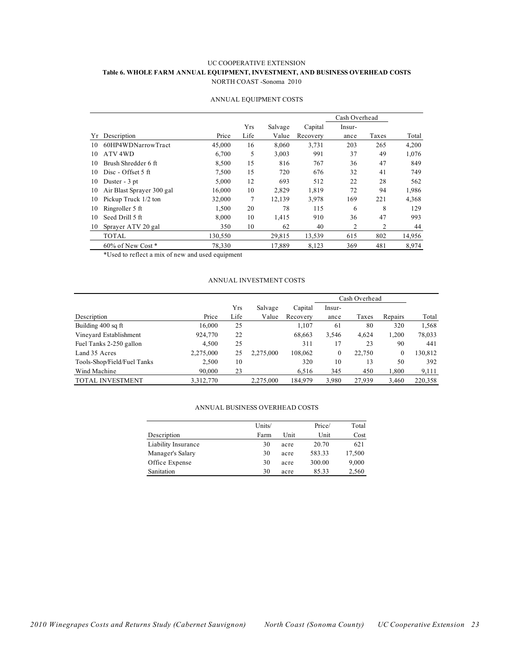#### UC COOPERATIVE EXTENSION **Table 6. WHOLE FARM ANNUAL EQUIPMENT, INVESTMENT, AND BUSINESS OVERHEAD COSTS** NORTH COAST -Sonoma 2010

|    |                           |         |      |         |          | Cash Overhead  |       |        |
|----|---------------------------|---------|------|---------|----------|----------------|-------|--------|
|    |                           |         | Yrs  | Salvage | Capital  | Insur-         |       |        |
| Υr | Description               | Price   | Life | Value   | Recovery | ance           | Taxes | Total  |
| 10 | 60HP4WDNarrowTract        | 45,000  | 16   | 8,060   | 3,731    | 203            | 265   | 4,200  |
| 10 | ATV <sub>4</sub> WD       | 6,700   | 5    | 3,003   | 991      | 37             | 49    | 1,076  |
| 10 | Brush Shredder 6 ft       | 8,500   | 15   | 816     | 767      | 36             | 47    | 849    |
| 10 | Disc - Offset 5 ft        | 7,500   | 15   | 720     | 676      | 32             | 41    | 749    |
| 10 | Duster - 3 pt             | 5,000   | 12   | 693     | 512      | 22             | 28    | 562    |
| 10 | Air Blast Sprayer 300 gal | 16,000  | 10   | 2,829   | 1,819    | 72             | 94    | 1,986  |
| 10 | Pickup Truck 1/2 ton      | 32,000  | 7    | 12,139  | 3,978    | 169            | 221   | 4,368  |
| 10 | Ringroller 5 ft           | 1,500   | 20   | 78      | 115      | 6              | 8     | 129    |
| 10 | Seed Drill 5 ft           | 8.000   | 10   | 1,415   | 910      | 36             | 47    | 993    |
| 10 | Sprayer ATV 20 gal        | 350     | 10   | 62      | 40       | $\overline{c}$ | 2     | 44     |
|    | <b>TOTAL</b>              | 130,550 |      | 29,815  | 13,539   | 615            | 802   | 14,956 |
|    | 60% of New Cost*          | 78,330  |      | 17.889  | 8,123    | 369            | 481   | 8,974  |

#### ANNUAL EQUIPMENT COSTS

\*Used to reflect a mix of new and used equipment

#### ANNUAL INVESTMENT COSTS

|                             |           |      |           |          | Cash Overhead    |        |         |         |
|-----------------------------|-----------|------|-----------|----------|------------------|--------|---------|---------|
|                             |           | Yrs  | Salvage   | Capital  | Insur-           |        |         |         |
| Description                 | Price     | Life | Value     | Recovery | ance             | Taxes  | Repairs | Total   |
| Building 400 sq ft          | 16,000    | 25   |           | 1,107    | 61               | 80     | 320     | 1,568   |
| Vineyard Establishment      | 924,770   | 22   |           | 68,663   | 3,546            | 4,624  | 1.200   | 78,033  |
| Fuel Tanks 2-250 gallon     | 4,500     | 25   |           | 311      | 17               | 23     | 90      | 441     |
| Land 35 Acres               | 2,275,000 | 25   | 2.275.000 | 108,062  | $\boldsymbol{0}$ | 22,750 | 0       | 130,812 |
| Tools-Shop/Field/Fuel Tanks | 2,500     | 10   |           | 320      | 10               | 13     | 50      | 392     |
| Wind Machine                | 90,000    | 23   |           | 6,516    | 345              | 450    | 1,800   | 9,111   |
| <b>TOTAL INVESTMENT</b>     | 3,312,770 |      | 2,275,000 | 184.979  | 3,980            | 27,939 | 3,460   | 220,358 |

#### ANNUAL BUSINESS OVERHEAD COSTS

|                     | Units/ |      | Price/ | Total  |
|---------------------|--------|------|--------|--------|
| Description         | Farm   | Unit | Unit   | Cost   |
| Liability Insurance | 30     | acre | 20.70  | 621    |
| Manager's Salary    | 30     | acre | 583.33 | 17,500 |
| Office Expense      | 30     | acre | 300.00 | 9,000  |
| Sanitation          | 30     | acre | 85.33  | 2,560  |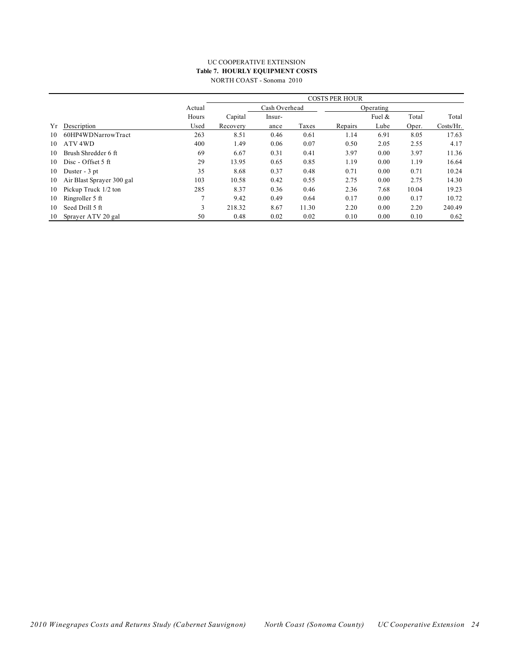#### UC COOPERATIVE EXTENSION **Table 7. HOURLY EQUIPMENT COSTS** NORTH COAST - Sonoma 2010

|    |                           |        |               |        |           | <b>COSTS PER HOUR</b> |           |       |           |
|----|---------------------------|--------|---------------|--------|-----------|-----------------------|-----------|-------|-----------|
|    |                           | Actual | Cash Overhead |        | Operating |                       |           |       |           |
|    |                           | Hours  | Capital       | Insur- |           |                       | Fuel $\&$ | Total | Total     |
| Υr | Description               | Used   | Recovery      | ance   | Taxes     | Repairs               | Lube      | Oper. | Costs/Hr. |
| 10 | 60HP4WDNarrowTract        | 263    | 8.51          | 0.46   | 0.61      | 1.14                  | 6.91      | 8.05  | 17.63     |
| 10 | ATV <sub>4WD</sub>        | 400    | 1.49          | 0.06   | 0.07      | 0.50                  | 2.05      | 2.55  | 4.17      |
| 10 | Brush Shredder 6 ft       | 69     | 6.67          | 0.31   | 0.41      | 3.97                  | 0.00      | 3.97  | 11.36     |
| 10 | Disc - Offset 5 ft        | 29     | 13.95         | 0.65   | 0.85      | 1.19                  | 0.00      | 1.19  | 16.64     |
| 10 | Duster - 3 pt             | 35     | 8.68          | 0.37   | 0.48      | 0.71                  | 0.00      | 0.71  | 10.24     |
| 10 | Air Blast Sprayer 300 gal | 103    | 10.58         | 0.42   | 0.55      | 2.75                  | 0.00      | 2.75  | 14.30     |
| 10 | Pickup Truck 1/2 ton      | 285    | 8.37          | 0.36   | 0.46      | 2.36                  | 7.68      | 10.04 | 19.23     |
| 10 | Ringroller 5 ft           |        | 9.42          | 0.49   | 0.64      | 0.17                  | 0.00      | 0.17  | 10.72     |
| 10 | Seed Drill 5 ft           | 3      | 218.32        | 8.67   | 11.30     | 2.20                  | 0.00      | 2.20  | 240.49    |
| 10 | Sprayer ATV 20 gal        | 50     | 0.48          | 0.02   | 0.02      | 0.10                  | 0.00      | 0.10  | 0.62      |